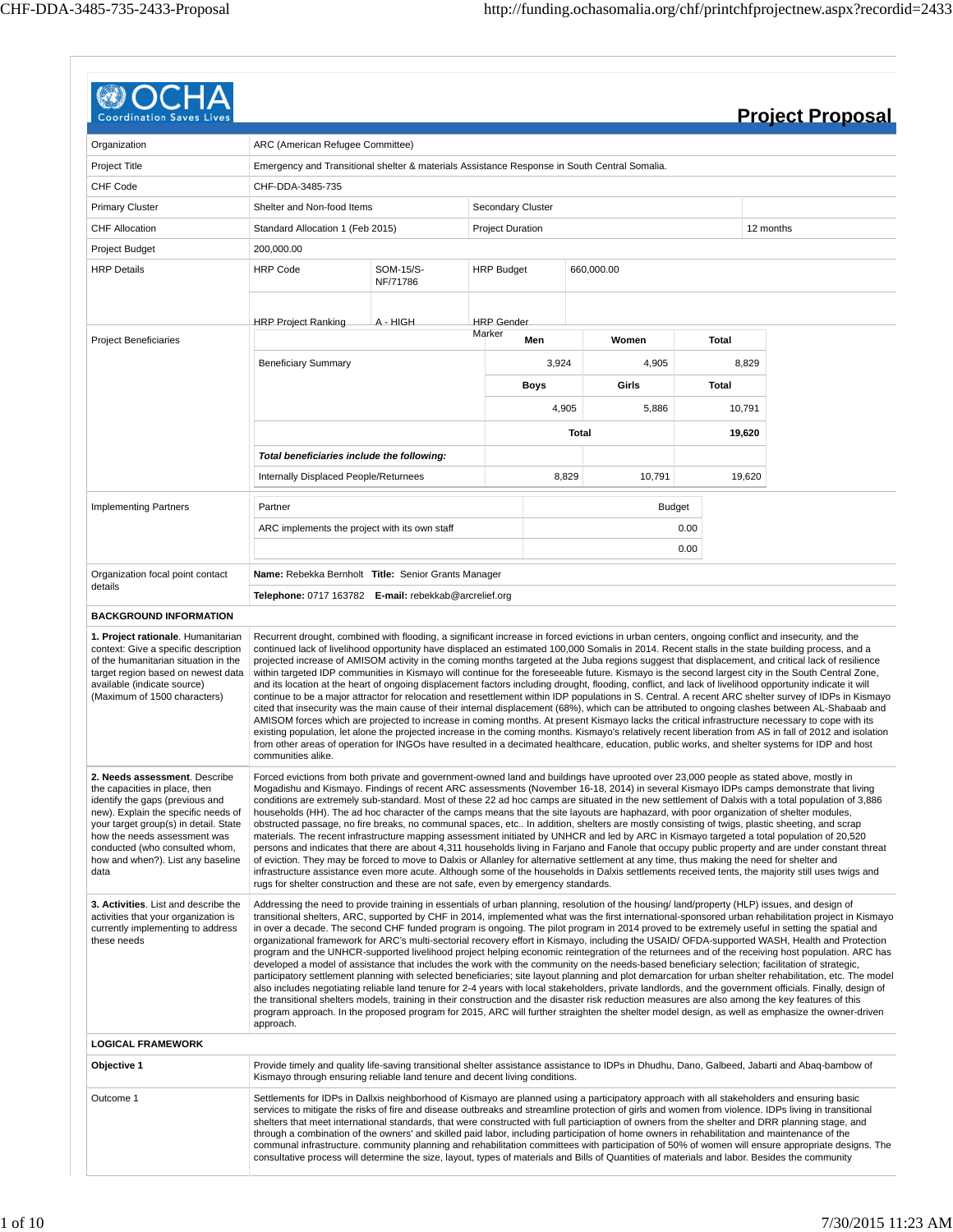|                                                                                                                                                                                                                                                                                                  |                                                                                                                                                                                                                                                                                                                                                                                                                                                                                                                                                                                                                                                                         |                             |                         |             |       |               |        | <b>Project Proposal</b>                                                                                                                                                                                                                                                                                                                                                                                                                                                                                                                                                                                                                                                                                                                                                                                                                                                                                                                                                                                                                                                                                                                                                                                                                                                                                                                                                                                |
|--------------------------------------------------------------------------------------------------------------------------------------------------------------------------------------------------------------------------------------------------------------------------------------------------|-------------------------------------------------------------------------------------------------------------------------------------------------------------------------------------------------------------------------------------------------------------------------------------------------------------------------------------------------------------------------------------------------------------------------------------------------------------------------------------------------------------------------------------------------------------------------------------------------------------------------------------------------------------------------|-----------------------------|-------------------------|-------------|-------|---------------|--------|--------------------------------------------------------------------------------------------------------------------------------------------------------------------------------------------------------------------------------------------------------------------------------------------------------------------------------------------------------------------------------------------------------------------------------------------------------------------------------------------------------------------------------------------------------------------------------------------------------------------------------------------------------------------------------------------------------------------------------------------------------------------------------------------------------------------------------------------------------------------------------------------------------------------------------------------------------------------------------------------------------------------------------------------------------------------------------------------------------------------------------------------------------------------------------------------------------------------------------------------------------------------------------------------------------------------------------------------------------------------------------------------------------|
|                                                                                                                                                                                                                                                                                                  |                                                                                                                                                                                                                                                                                                                                                                                                                                                                                                                                                                                                                                                                         |                             |                         |             |       |               |        |                                                                                                                                                                                                                                                                                                                                                                                                                                                                                                                                                                                                                                                                                                                                                                                                                                                                                                                                                                                                                                                                                                                                                                                                                                                                                                                                                                                                        |
| Organization                                                                                                                                                                                                                                                                                     | ARC (American Refugee Committee)                                                                                                                                                                                                                                                                                                                                                                                                                                                                                                                                                                                                                                        |                             |                         |             |       |               |        |                                                                                                                                                                                                                                                                                                                                                                                                                                                                                                                                                                                                                                                                                                                                                                                                                                                                                                                                                                                                                                                                                                                                                                                                                                                                                                                                                                                                        |
| Project Title                                                                                                                                                                                                                                                                                    | Emergency and Transitional shelter & materials Assistance Response in South Central Somalia.                                                                                                                                                                                                                                                                                                                                                                                                                                                                                                                                                                            |                             |                         |             |       |               |        |                                                                                                                                                                                                                                                                                                                                                                                                                                                                                                                                                                                                                                                                                                                                                                                                                                                                                                                                                                                                                                                                                                                                                                                                                                                                                                                                                                                                        |
| <b>CHF Code</b>                                                                                                                                                                                                                                                                                  | CHF-DDA-3485-735                                                                                                                                                                                                                                                                                                                                                                                                                                                                                                                                                                                                                                                        |                             |                         |             |       |               |        |                                                                                                                                                                                                                                                                                                                                                                                                                                                                                                                                                                                                                                                                                                                                                                                                                                                                                                                                                                                                                                                                                                                                                                                                                                                                                                                                                                                                        |
| <b>Primary Cluster</b>                                                                                                                                                                                                                                                                           | Shelter and Non-food Items                                                                                                                                                                                                                                                                                                                                                                                                                                                                                                                                                                                                                                              |                             | Secondary Cluster       |             |       |               |        |                                                                                                                                                                                                                                                                                                                                                                                                                                                                                                                                                                                                                                                                                                                                                                                                                                                                                                                                                                                                                                                                                                                                                                                                                                                                                                                                                                                                        |
| <b>CHF Allocation</b>                                                                                                                                                                                                                                                                            | Standard Allocation 1 (Feb 2015)                                                                                                                                                                                                                                                                                                                                                                                                                                                                                                                                                                                                                                        |                             | <b>Project Duration</b> |             |       |               |        | 12 months                                                                                                                                                                                                                                                                                                                                                                                                                                                                                                                                                                                                                                                                                                                                                                                                                                                                                                                                                                                                                                                                                                                                                                                                                                                                                                                                                                                              |
| <b>Project Budget</b>                                                                                                                                                                                                                                                                            | 200.000.00                                                                                                                                                                                                                                                                                                                                                                                                                                                                                                                                                                                                                                                              |                             |                         |             |       |               |        |                                                                                                                                                                                                                                                                                                                                                                                                                                                                                                                                                                                                                                                                                                                                                                                                                                                                                                                                                                                                                                                                                                                                                                                                                                                                                                                                                                                                        |
| <b>HRP Details</b>                                                                                                                                                                                                                                                                               | <b>HRP Code</b>                                                                                                                                                                                                                                                                                                                                                                                                                                                                                                                                                                                                                                                         | SOM-15/S-<br>NF/71786       | <b>HRP Budget</b>       |             |       | 660,000.00    |        |                                                                                                                                                                                                                                                                                                                                                                                                                                                                                                                                                                                                                                                                                                                                                                                                                                                                                                                                                                                                                                                                                                                                                                                                                                                                                                                                                                                                        |
|                                                                                                                                                                                                                                                                                                  |                                                                                                                                                                                                                                                                                                                                                                                                                                                                                                                                                                                                                                                                         | A - HIGH                    |                         |             |       |               |        |                                                                                                                                                                                                                                                                                                                                                                                                                                                                                                                                                                                                                                                                                                                                                                                                                                                                                                                                                                                                                                                                                                                                                                                                                                                                                                                                                                                                        |
|                                                                                                                                                                                                                                                                                                  | <b>HRP Project Ranking</b>                                                                                                                                                                                                                                                                                                                                                                                                                                                                                                                                                                                                                                              | <b>HRP</b> Gender<br>Marker | Men                     |             | Women | <b>Total</b>  |        |                                                                                                                                                                                                                                                                                                                                                                                                                                                                                                                                                                                                                                                                                                                                                                                                                                                                                                                                                                                                                                                                                                                                                                                                                                                                                                                                                                                                        |
| <b>Project Beneficiaries</b>                                                                                                                                                                                                                                                                     |                                                                                                                                                                                                                                                                                                                                                                                                                                                                                                                                                                                                                                                                         |                             |                         |             |       |               |        |                                                                                                                                                                                                                                                                                                                                                                                                                                                                                                                                                                                                                                                                                                                                                                                                                                                                                                                                                                                                                                                                                                                                                                                                                                                                                                                                                                                                        |
|                                                                                                                                                                                                                                                                                                  | <b>Beneficiary Summary</b>                                                                                                                                                                                                                                                                                                                                                                                                                                                                                                                                                                                                                                              |                             |                         | 3,924       |       | 4,905         | 8,829  |                                                                                                                                                                                                                                                                                                                                                                                                                                                                                                                                                                                                                                                                                                                                                                                                                                                                                                                                                                                                                                                                                                                                                                                                                                                                                                                                                                                                        |
|                                                                                                                                                                                                                                                                                                  |                                                                                                                                                                                                                                                                                                                                                                                                                                                                                                                                                                                                                                                                         |                             |                         | <b>Boys</b> |       | Girls         | Total  |                                                                                                                                                                                                                                                                                                                                                                                                                                                                                                                                                                                                                                                                                                                                                                                                                                                                                                                                                                                                                                                                                                                                                                                                                                                                                                                                                                                                        |
|                                                                                                                                                                                                                                                                                                  |                                                                                                                                                                                                                                                                                                                                                                                                                                                                                                                                                                                                                                                                         |                             |                         | 4,905       |       | 5,886         | 10,791 |                                                                                                                                                                                                                                                                                                                                                                                                                                                                                                                                                                                                                                                                                                                                                                                                                                                                                                                                                                                                                                                                                                                                                                                                                                                                                                                                                                                                        |
|                                                                                                                                                                                                                                                                                                  |                                                                                                                                                                                                                                                                                                                                                                                                                                                                                                                                                                                                                                                                         |                             |                         |             | Total |               | 19,620 |                                                                                                                                                                                                                                                                                                                                                                                                                                                                                                                                                                                                                                                                                                                                                                                                                                                                                                                                                                                                                                                                                                                                                                                                                                                                                                                                                                                                        |
|                                                                                                                                                                                                                                                                                                  | Total beneficiaries include the following:                                                                                                                                                                                                                                                                                                                                                                                                                                                                                                                                                                                                                              |                             |                         |             |       |               |        |                                                                                                                                                                                                                                                                                                                                                                                                                                                                                                                                                                                                                                                                                                                                                                                                                                                                                                                                                                                                                                                                                                                                                                                                                                                                                                                                                                                                        |
|                                                                                                                                                                                                                                                                                                  | Internally Displaced People/Returnees                                                                                                                                                                                                                                                                                                                                                                                                                                                                                                                                                                                                                                   |                             |                         | 8,829       |       | 10,791        | 19,620 |                                                                                                                                                                                                                                                                                                                                                                                                                                                                                                                                                                                                                                                                                                                                                                                                                                                                                                                                                                                                                                                                                                                                                                                                                                                                                                                                                                                                        |
|                                                                                                                                                                                                                                                                                                  |                                                                                                                                                                                                                                                                                                                                                                                                                                                                                                                                                                                                                                                                         |                             |                         |             |       |               |        |                                                                                                                                                                                                                                                                                                                                                                                                                                                                                                                                                                                                                                                                                                                                                                                                                                                                                                                                                                                                                                                                                                                                                                                                                                                                                                                                                                                                        |
| <b>Implementing Partners</b>                                                                                                                                                                                                                                                                     | Partner                                                                                                                                                                                                                                                                                                                                                                                                                                                                                                                                                                                                                                                                 |                             |                         |             |       | <b>Budget</b> |        |                                                                                                                                                                                                                                                                                                                                                                                                                                                                                                                                                                                                                                                                                                                                                                                                                                                                                                                                                                                                                                                                                                                                                                                                                                                                                                                                                                                                        |
|                                                                                                                                                                                                                                                                                                  | ARC implements the project with its own staff                                                                                                                                                                                                                                                                                                                                                                                                                                                                                                                                                                                                                           |                             |                         |             |       | 0.00          |        |                                                                                                                                                                                                                                                                                                                                                                                                                                                                                                                                                                                                                                                                                                                                                                                                                                                                                                                                                                                                                                                                                                                                                                                                                                                                                                                                                                                                        |
|                                                                                                                                                                                                                                                                                                  |                                                                                                                                                                                                                                                                                                                                                                                                                                                                                                                                                                                                                                                                         |                             |                         |             |       | 0.00          |        |                                                                                                                                                                                                                                                                                                                                                                                                                                                                                                                                                                                                                                                                                                                                                                                                                                                                                                                                                                                                                                                                                                                                                                                                                                                                                                                                                                                                        |
| Organization focal point contact                                                                                                                                                                                                                                                                 | Name: Rebekka Bernholt Title: Senior Grants Manager                                                                                                                                                                                                                                                                                                                                                                                                                                                                                                                                                                                                                     |                             |                         |             |       |               |        |                                                                                                                                                                                                                                                                                                                                                                                                                                                                                                                                                                                                                                                                                                                                                                                                                                                                                                                                                                                                                                                                                                                                                                                                                                                                                                                                                                                                        |
| details                                                                                                                                                                                                                                                                                          | Telephone: 0717 163782 E-mail: rebekkab@arcrelief.org                                                                                                                                                                                                                                                                                                                                                                                                                                                                                                                                                                                                                   |                             |                         |             |       |               |        |                                                                                                                                                                                                                                                                                                                                                                                                                                                                                                                                                                                                                                                                                                                                                                                                                                                                                                                                                                                                                                                                                                                                                                                                                                                                                                                                                                                                        |
| <b>BACKGROUND INFORMATION</b>                                                                                                                                                                                                                                                                    |                                                                                                                                                                                                                                                                                                                                                                                                                                                                                                                                                                                                                                                                         |                             |                         |             |       |               |        |                                                                                                                                                                                                                                                                                                                                                                                                                                                                                                                                                                                                                                                                                                                                                                                                                                                                                                                                                                                                                                                                                                                                                                                                                                                                                                                                                                                                        |
| context: Give a specific description<br>of the humanitarian situation in the<br>target region based on newest data<br>available (indicate source)<br>(Maximum of 1500 characters)                                                                                                                | communities alike.                                                                                                                                                                                                                                                                                                                                                                                                                                                                                                                                                                                                                                                      |                             |                         |             |       |               |        | continued lack of livelihood opportunity have displaced an estimated 100,000 Somalis in 2014. Recent stalls in the state building process, and a<br>projected increase of AMISOM activity in the coming months targeted at the Juba regions suggest that displacement, and critical lack of resilience<br>within targeted IDP communities in Kismayo will continue for the foreseeable future. Kismayo is the second largest city in the South Central Zone,<br>and its location at the heart of ongoing displacement factors including drought, flooding, conflict, and lack of livelihood opportunity indicate it will<br>continue to be a major attractor for relocation and resettlement within IDP populations in S. Central. A recent ARC shelter survey of IDPs in Kismayo<br>cited that insecurity was the main cause of their internal displacement (68%), which can be attributed to ongoing clashes between AL-Shabaab and<br>AMISOM forces which are projected to increase in coming months. At present Kismayo lacks the critical infrastructure necessary to cope with its<br>existing population, let alone the projected increase in the coming months. Kismayo's relatively recent liberation from AS in fall of 2012 and isolation<br>from other areas of operation for INGOs have resulted in a decimated healthcare, education, public works, and shelter systems for IDP and host |
| 2. Needs assessment. Describe<br>the capacities in place, then<br>identify the gaps (previous and<br>new). Explain the specific needs of<br>your target group(s) in detail. State<br>how the needs assessment was<br>conducted (who consulted whom,<br>how and when?). List any baseline<br>data | Forced evictions from both private and government-owned land and buildings have uprooted over 23,000 people as stated above, mostly in<br>households (HH). The ad hoc character of the camps means that the site layouts are haphazard, with poor organization of shelter modules,<br>obstructed passage, no fire breaks, no communal spaces, etc In addition, shelters are mostly consisting of twigs, plastic sheeting, and scrap<br>of eviction. They may be forced to move to Dalxis or Allanley for alternative settlement at any time, thus making the need for shelter and<br>rugs for shelter construction and these are not safe, even by emergency standards. |                             |                         |             |       |               |        | Mogadishu and Kismayo. Findings of recent ARC assessments (November 16-18, 2014) in several Kismayo IDPs camps demonstrate that living<br>conditions are extremely sub-standard. Most of these 22 ad hoc camps are situated in the new settlement of Dalxis with a total population of 3,886<br>materials. The recent infrastructure mapping assessment initiated by UNHCR and led by ARC in Kismayo targeted a total population of 20,520<br>persons and indicates that there are about 4,311 households living in Farjano and Fanole that occupy public property and are under constant threat<br>infrastructure assistance even more acute. Although some of the households in Dalxis settlements received tents, the majority still uses twigs and                                                                                                                                                                                                                                                                                                                                                                                                                                                                                                                                                                                                                                                 |
| 3. Activities. List and describe the<br>activities that your organization is<br>currently implementing to address<br>these needs                                                                                                                                                                 | Addressing the need to provide training in essentials of urban planning, resolution of the housing/land/property (HLP) issues, and design of<br>developed a model of assistance that includes the work with the community on the needs-based beneficiary selection; facilitation of strategic,<br>the transitional shelters models, training in their construction and the disaster risk reduction measures are also among the key features of this<br>approach.                                                                                                                                                                                                        |                             |                         |             |       |               |        | transitional shelters, ARC, supported by CHF in 2014, implemented what was the first international-sponsored urban rehabilitation project in Kismayo<br>in over a decade. The second CHF funded program is ongoing. The pilot program in 2014 proved to be extremely useful in setting the spatial and<br>organizational framework for ARC's multi-sectorial recovery effort in Kismayo, including the USAID/ OFDA-supported WASH, Health and Protection<br>program and the UNHCR-supported livelihood project helping economic reintegration of the returnees and of the receiving host population. ARC has<br>participatory settlement planning with selected beneficiaries; site layout planning and plot demarcation for urban shelter rehabilitation, etc. The model<br>also includes negotiating reliable land tenure for 2-4 years with local stakeholders, private landlords, and the government officials. Finally, design of<br>program approach. In the proposed program for 2015, ARC will further straighten the shelter model design, as well as emphasize the owner-driven                                                                                                                                                                                                                                                                                                              |
| <b>LOGICAL FRAMEWORK</b>                                                                                                                                                                                                                                                                         |                                                                                                                                                                                                                                                                                                                                                                                                                                                                                                                                                                                                                                                                         |                             |                         |             |       |               |        |                                                                                                                                                                                                                                                                                                                                                                                                                                                                                                                                                                                                                                                                                                                                                                                                                                                                                                                                                                                                                                                                                                                                                                                                                                                                                                                                                                                                        |
| Objective 1                                                                                                                                                                                                                                                                                      | Kismayo through ensuring reliable land tenure and decent living conditions.                                                                                                                                                                                                                                                                                                                                                                                                                                                                                                                                                                                             |                             |                         |             |       |               |        | Provide timely and quality life-saving transitional shelter assistance assistance to IDPs in Dhudhu, Dano, Galbeed, Jabarti and Abaq-bambow of                                                                                                                                                                                                                                                                                                                                                                                                                                                                                                                                                                                                                                                                                                                                                                                                                                                                                                                                                                                                                                                                                                                                                                                                                                                         |
| Outcome 1                                                                                                                                                                                                                                                                                        | Settlements for IDPs in Dallxis neighborhood of Kismayo are planned using a participatory approach with all stakeholders and ensuring basic<br>through a combination of the owners' and skilled paid labor, including participation of home owners in rehabilitation and maintenance of the<br>consultative process will determine the size, layout, types of materials and Bills of Quantities of materials and labor. Besides the community                                                                                                                                                                                                                           |                             |                         |             |       |               |        | services to mitigate the risks of fire and disease outbreaks and streamline protection of girls and women from violence. IDPs living in transitional<br>shelters that meet international standards, that were constructed with full particiaption of owners from the shelter and DRR planning stage, and<br>communal infrastructure. community planning and rehabilitation committees with participation of 50% of women will ensure appropriate designs. The                                                                                                                                                                                                                                                                                                                                                                                                                                                                                                                                                                                                                                                                                                                                                                                                                                                                                                                                          |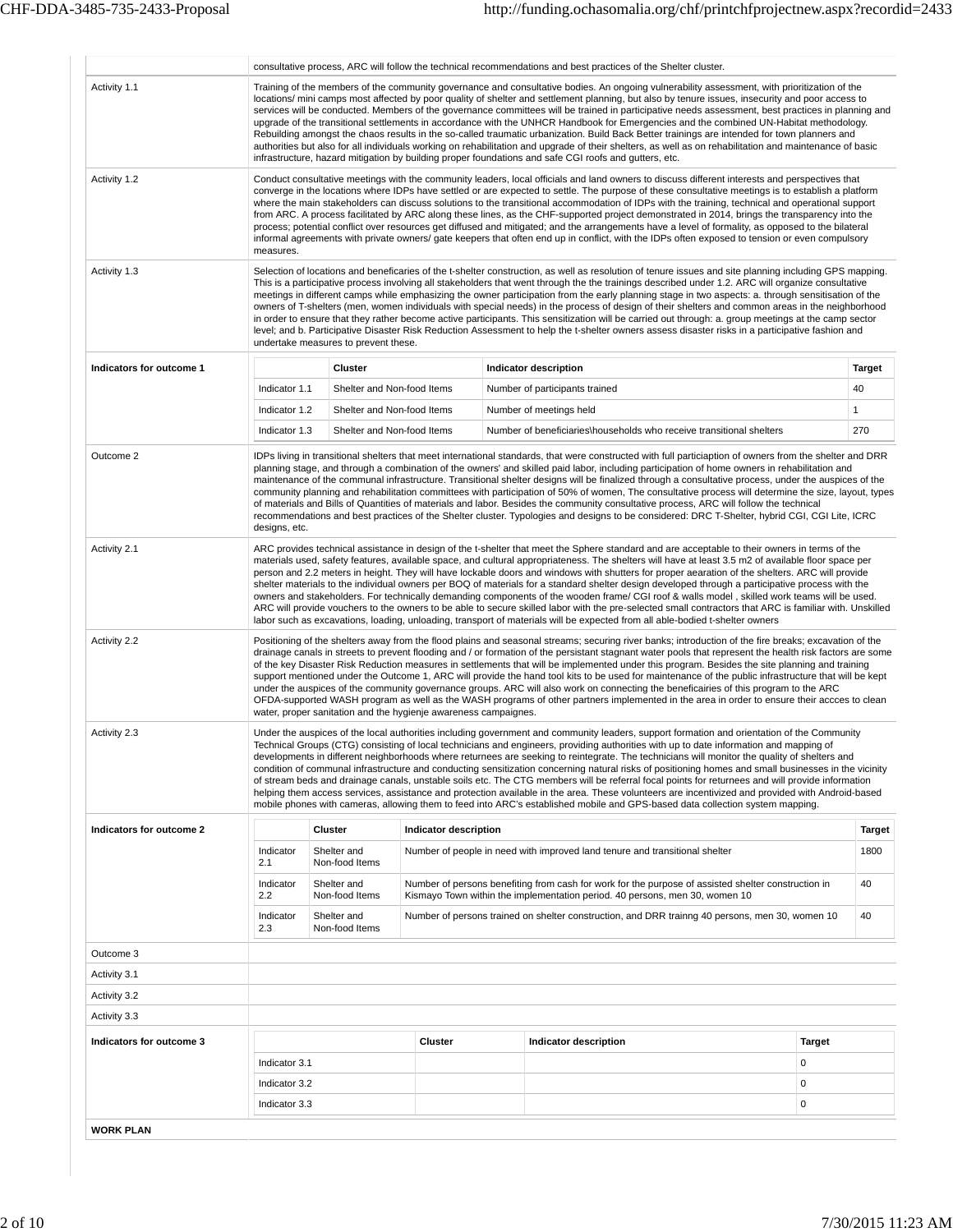|                          |                                                                                                                                                                                                                                                                                                                                                                                                                                                                                                                                                                                                                                                                                                                                                                                                                                                                                                                                       | consultative process, ARC will follow the technical recommendations and best practices of the Shelter cluster.<br>Training of the members of the community governance and consultative bodies. An ongoing vulnerability assessment, with prioritization of the                                                                                                                                                                                                                                                                                                                                                                                                                                                                                                                                                                                                                                                                                                                                                                                       |                                                                 |  |                                                                                                       |                                                                                                                                                                                                                                                                                                                                                                                                                                                                                                                                                                                                                                                                                                                                                                                                                                                                                                                                                                                                                                       |               |               |  |  |  |  |  |  |
|--------------------------|---------------------------------------------------------------------------------------------------------------------------------------------------------------------------------------------------------------------------------------------------------------------------------------------------------------------------------------------------------------------------------------------------------------------------------------------------------------------------------------------------------------------------------------------------------------------------------------------------------------------------------------------------------------------------------------------------------------------------------------------------------------------------------------------------------------------------------------------------------------------------------------------------------------------------------------|------------------------------------------------------------------------------------------------------------------------------------------------------------------------------------------------------------------------------------------------------------------------------------------------------------------------------------------------------------------------------------------------------------------------------------------------------------------------------------------------------------------------------------------------------------------------------------------------------------------------------------------------------------------------------------------------------------------------------------------------------------------------------------------------------------------------------------------------------------------------------------------------------------------------------------------------------------------------------------------------------------------------------------------------------|-----------------------------------------------------------------|--|-------------------------------------------------------------------------------------------------------|---------------------------------------------------------------------------------------------------------------------------------------------------------------------------------------------------------------------------------------------------------------------------------------------------------------------------------------------------------------------------------------------------------------------------------------------------------------------------------------------------------------------------------------------------------------------------------------------------------------------------------------------------------------------------------------------------------------------------------------------------------------------------------------------------------------------------------------------------------------------------------------------------------------------------------------------------------------------------------------------------------------------------------------|---------------|---------------|--|--|--|--|--|--|
| Activity 1.1             |                                                                                                                                                                                                                                                                                                                                                                                                                                                                                                                                                                                                                                                                                                                                                                                                                                                                                                                                       |                                                                                                                                                                                                                                                                                                                                                                                                                                                                                                                                                                                                                                                                                                                                                                                                                                                                                                                                                                                                                                                      |                                                                 |  | infrastructure, hazard mitigation by building proper foundations and safe CGI roofs and gutters, etc. | locations/ mini camps most affected by poor quality of shelter and settlement planning, but also by tenure issues, insecurity and poor access to<br>services will be conducted. Members of the governance committees will be trained in participative needs assessment, best practices in planning and<br>upgrade of the transitional settlements in accordance with the UNHCR Handbook for Emergencies and the combined UN-Habitat methodology.<br>Rebuilding amongst the chaos results in the so-called traumatic urbanization. Build Back Better trainings are intended for town planners and<br>authorities but also for all individuals working on rehabilitation and upgrade of their shelters, as well as on rehabilitation and maintenance of basic                                                                                                                                                                                                                                                                           |               |               |  |  |  |  |  |  |
| Activity 1.2             | measures.                                                                                                                                                                                                                                                                                                                                                                                                                                                                                                                                                                                                                                                                                                                                                                                                                                                                                                                             |                                                                                                                                                                                                                                                                                                                                                                                                                                                                                                                                                                                                                                                                                                                                                                                                                                                                                                                                                                                                                                                      |                                                                 |  |                                                                                                       | Conduct consultative meetings with the community leaders, local officials and land owners to discuss different interests and perspectives that<br>converge in the locations where IDPs have settled or are expected to settle. The purpose of these consultative meetings is to establish a platform<br>where the main stakeholders can discuss solutions to the transitional accommodation of IDPs with the training, technical and operational support<br>from ARC. A process facilitated by ARC along these lines, as the CHF-supported project demonstrated in 2014, brings the transparency into the<br>process; potential conflict over resources get diffused and mitigated; and the arrangements have a level of formality, as opposed to the bilateral<br>informal agreements with private owners/ gate keepers that often end up in conflict, with the IDPs often exposed to tension or even compulsory                                                                                                                     |               |               |  |  |  |  |  |  |
| Activity 1.3             |                                                                                                                                                                                                                                                                                                                                                                                                                                                                                                                                                                                                                                                                                                                                                                                                                                                                                                                                       | Selection of locations and beneficaries of the t-shelter construction, as well as resolution of tenure issues and site planning including GPS mapping.<br>This is a participative process involving all stakeholders that went through the the trainings described under 1.2. ARC will organize consultative<br>meetings in different camps while emphasizing the owner participation from the early planning stage in two aspects: a. through sensitisation of the<br>owners of T-shelters (men, women individuals with special needs) in the process of design of their shelters and common areas in the neighborhood<br>in order to ensure that they rather become active participants. This sensitization will be carried out through: a. group meetings at the camp sector<br>level; and b. Participative Disaster Risk Reduction Assessment to help the t-shelter owners assess disaster risks in a participative fashion and<br>undertake measures to prevent these.                                                                          |                                                                 |  |                                                                                                       |                                                                                                                                                                                                                                                                                                                                                                                                                                                                                                                                                                                                                                                                                                                                                                                                                                                                                                                                                                                                                                       |               |               |  |  |  |  |  |  |
| Indicators for outcome 1 |                                                                                                                                                                                                                                                                                                                                                                                                                                                                                                                                                                                                                                                                                                                                                                                                                                                                                                                                       | Cluster                                                                                                                                                                                                                                                                                                                                                                                                                                                                                                                                                                                                                                                                                                                                                                                                                                                                                                                                                                                                                                              |                                                                 |  | Indicator description                                                                                 |                                                                                                                                                                                                                                                                                                                                                                                                                                                                                                                                                                                                                                                                                                                                                                                                                                                                                                                                                                                                                                       |               | <b>Target</b> |  |  |  |  |  |  |
|                          | Indicator 1.1                                                                                                                                                                                                                                                                                                                                                                                                                                                                                                                                                                                                                                                                                                                                                                                                                                                                                                                         | Shelter and Non-food Items                                                                                                                                                                                                                                                                                                                                                                                                                                                                                                                                                                                                                                                                                                                                                                                                                                                                                                                                                                                                                           |                                                                 |  | Number of participants trained                                                                        |                                                                                                                                                                                                                                                                                                                                                                                                                                                                                                                                                                                                                                                                                                                                                                                                                                                                                                                                                                                                                                       |               | 40            |  |  |  |  |  |  |
|                          | Indicator 1.2                                                                                                                                                                                                                                                                                                                                                                                                                                                                                                                                                                                                                                                                                                                                                                                                                                                                                                                         | Shelter and Non-food Items                                                                                                                                                                                                                                                                                                                                                                                                                                                                                                                                                                                                                                                                                                                                                                                                                                                                                                                                                                                                                           |                                                                 |  | Number of meetings held                                                                               |                                                                                                                                                                                                                                                                                                                                                                                                                                                                                                                                                                                                                                                                                                                                                                                                                                                                                                                                                                                                                                       |               | $\mathbf{1}$  |  |  |  |  |  |  |
|                          | Indicator 1.3                                                                                                                                                                                                                                                                                                                                                                                                                                                                                                                                                                                                                                                                                                                                                                                                                                                                                                                         | Shelter and Non-food Items                                                                                                                                                                                                                                                                                                                                                                                                                                                                                                                                                                                                                                                                                                                                                                                                                                                                                                                                                                                                                           |                                                                 |  |                                                                                                       | Number of beneficiaries\households who receive transitional shelters                                                                                                                                                                                                                                                                                                                                                                                                                                                                                                                                                                                                                                                                                                                                                                                                                                                                                                                                                                  |               | 270           |  |  |  |  |  |  |
| Outcome 2                | IDPs living in transitional shelters that meet international standards, that were constructed with full particiaption of owners from the shelter and DRR<br>planning stage, and through a combination of the owners' and skilled paid labor, including participation of home owners in rehabilitation and<br>maintenance of the communal infrastructure. Transitional shelter designs will be finalized through a consultative process, under the auspices of the<br>community planning and rehabilitation committees with participation of 50% of women, The consultative process will determine the size, layout, types<br>of materials and Bills of Quantities of materials and labor. Besides the community consultative process, ARC will follow the technical<br>recommendations and best practices of the Shelter cluster. Typologies and designs to be considered: DRC T-Shelter, hybrid CGI, CGI Lite, ICRC<br>designs, etc. |                                                                                                                                                                                                                                                                                                                                                                                                                                                                                                                                                                                                                                                                                                                                                                                                                                                                                                                                                                                                                                                      |                                                                 |  |                                                                                                       |                                                                                                                                                                                                                                                                                                                                                                                                                                                                                                                                                                                                                                                                                                                                                                                                                                                                                                                                                                                                                                       |               |               |  |  |  |  |  |  |
| Activity 2.1             |                                                                                                                                                                                                                                                                                                                                                                                                                                                                                                                                                                                                                                                                                                                                                                                                                                                                                                                                       | ARC provides technical assistance in design of the t-shelter that meet the Sphere standard and are acceptable to their owners in terms of the<br>materials used, safety features, available space, and cultural appropriateness. The shelters will have at least 3.5 m2 of available floor space per<br>person and 2.2 meters in height. They will have lockable doors and windows with shutters for proper aearation of the shelters. ARC will provide<br>shelter materials to the individual owners per BOQ of materials for a standard shelter design developed through a participative process with the<br>owners and stakeholders. For technically demanding components of the wooden frame/CGI roof & walls model, skilled work teams will be used.<br>ARC will provide vouchers to the owners to be able to secure skilled labor with the pre-selected small contractors that ARC is familiar with. Unskilled<br>labor such as excavations, loading, unloading, transport of materials will be expected from all able-bodied t-shelter owners |                                                                 |  |                                                                                                       |                                                                                                                                                                                                                                                                                                                                                                                                                                                                                                                                                                                                                                                                                                                                                                                                                                                                                                                                                                                                                                       |               |               |  |  |  |  |  |  |
| Activity 2.2             |                                                                                                                                                                                                                                                                                                                                                                                                                                                                                                                                                                                                                                                                                                                                                                                                                                                                                                                                       |                                                                                                                                                                                                                                                                                                                                                                                                                                                                                                                                                                                                                                                                                                                                                                                                                                                                                                                                                                                                                                                      | water, proper sanitation and the hygienje awareness campaignes. |  |                                                                                                       | Positioning of the shelters away from the flood plains and seasonal streams; securing river banks; introduction of the fire breaks; excavation of the<br>drainage canals in streets to prevent flooding and / or formation of the persistant stagnant water pools that represent the health risk factors are some<br>of the key Disaster Risk Reduction measures in settlements that will be implemented under this program. Besides the site planning and training<br>support mentioned under the Outcome 1, ARC will provide the hand tool kits to be used for maintenance of the public infrastructure that will be kept<br>under the auspices of the community governance groups. ARC will also work on connecting the beneficairies of this program to the ARC<br>OFDA-supported WASH program as well as the WASH programs of other partners implemented in the area in order to ensure their accces to clean                                                                                                                    |               |               |  |  |  |  |  |  |
| Activity 2.3             |                                                                                                                                                                                                                                                                                                                                                                                                                                                                                                                                                                                                                                                                                                                                                                                                                                                                                                                                       |                                                                                                                                                                                                                                                                                                                                                                                                                                                                                                                                                                                                                                                                                                                                                                                                                                                                                                                                                                                                                                                      |                                                                 |  |                                                                                                       | Under the auspices of the local authorities including government and community leaders, support formation and orientation of the Community<br>Technical Groups (CTG) consisting of local technicians and engineers, providing authorities with up to date information and mapping of<br>developments in different neighborhoods where returnees are seeking to reintegrate. The technicians will monitor the quality of shelters and<br>condition of communal infrastructure and conducting sensitization concerning natural risks of positioning homes and small businesses in the vicinity<br>of stream beds and drainage canals, unstable soils etc. The CTG members will be referral focal points for returnees and will provide information<br>helping them access services, assistance and protection available in the area. These volunteers are incentivized and provided with Android-based<br>mobile phones with cameras, allowing them to feed into ARC's established mobile and GPS-based data collection system mapping. |               |               |  |  |  |  |  |  |
| Indicators for outcome 2 |                                                                                                                                                                                                                                                                                                                                                                                                                                                                                                                                                                                                                                                                                                                                                                                                                                                                                                                                       | Cluster                                                                                                                                                                                                                                                                                                                                                                                                                                                                                                                                                                                                                                                                                                                                                                                                                                                                                                                                                                                                                                              | Indicator description                                           |  |                                                                                                       |                                                                                                                                                                                                                                                                                                                                                                                                                                                                                                                                                                                                                                                                                                                                                                                                                                                                                                                                                                                                                                       |               | <b>Target</b> |  |  |  |  |  |  |
|                          | Indicator<br>2.1                                                                                                                                                                                                                                                                                                                                                                                                                                                                                                                                                                                                                                                                                                                                                                                                                                                                                                                      | Shelter and<br>Non-food Items                                                                                                                                                                                                                                                                                                                                                                                                                                                                                                                                                                                                                                                                                                                                                                                                                                                                                                                                                                                                                        |                                                                 |  | Number of people in need with improved land tenure and transitional shelter                           |                                                                                                                                                                                                                                                                                                                                                                                                                                                                                                                                                                                                                                                                                                                                                                                                                                                                                                                                                                                                                                       |               | 1800          |  |  |  |  |  |  |
|                          | Indicator<br>2.2                                                                                                                                                                                                                                                                                                                                                                                                                                                                                                                                                                                                                                                                                                                                                                                                                                                                                                                      | Shelter and<br>Non-food Items                                                                                                                                                                                                                                                                                                                                                                                                                                                                                                                                                                                                                                                                                                                                                                                                                                                                                                                                                                                                                        |                                                                 |  | Kismayo Town within the implementation period. 40 persons, men 30, women 10                           | Number of persons benefiting from cash for work for the purpose of assisted shelter construction in                                                                                                                                                                                                                                                                                                                                                                                                                                                                                                                                                                                                                                                                                                                                                                                                                                                                                                                                   |               | 40            |  |  |  |  |  |  |
|                          | Indicator<br>2.3                                                                                                                                                                                                                                                                                                                                                                                                                                                                                                                                                                                                                                                                                                                                                                                                                                                                                                                      | Shelter and<br>Non-food Items                                                                                                                                                                                                                                                                                                                                                                                                                                                                                                                                                                                                                                                                                                                                                                                                                                                                                                                                                                                                                        |                                                                 |  |                                                                                                       | Number of persons trained on shelter construction, and DRR trainng 40 persons, men 30, women 10                                                                                                                                                                                                                                                                                                                                                                                                                                                                                                                                                                                                                                                                                                                                                                                                                                                                                                                                       |               | 40            |  |  |  |  |  |  |
| Outcome 3                |                                                                                                                                                                                                                                                                                                                                                                                                                                                                                                                                                                                                                                                                                                                                                                                                                                                                                                                                       |                                                                                                                                                                                                                                                                                                                                                                                                                                                                                                                                                                                                                                                                                                                                                                                                                                                                                                                                                                                                                                                      |                                                                 |  |                                                                                                       |                                                                                                                                                                                                                                                                                                                                                                                                                                                                                                                                                                                                                                                                                                                                                                                                                                                                                                                                                                                                                                       |               |               |  |  |  |  |  |  |
| Activity 3.1             |                                                                                                                                                                                                                                                                                                                                                                                                                                                                                                                                                                                                                                                                                                                                                                                                                                                                                                                                       |                                                                                                                                                                                                                                                                                                                                                                                                                                                                                                                                                                                                                                                                                                                                                                                                                                                                                                                                                                                                                                                      |                                                                 |  |                                                                                                       |                                                                                                                                                                                                                                                                                                                                                                                                                                                                                                                                                                                                                                                                                                                                                                                                                                                                                                                                                                                                                                       |               |               |  |  |  |  |  |  |
| Activity 3.2             |                                                                                                                                                                                                                                                                                                                                                                                                                                                                                                                                                                                                                                                                                                                                                                                                                                                                                                                                       |                                                                                                                                                                                                                                                                                                                                                                                                                                                                                                                                                                                                                                                                                                                                                                                                                                                                                                                                                                                                                                                      |                                                                 |  |                                                                                                       |                                                                                                                                                                                                                                                                                                                                                                                                                                                                                                                                                                                                                                                                                                                                                                                                                                                                                                                                                                                                                                       |               |               |  |  |  |  |  |  |
| Activity 3.3             |                                                                                                                                                                                                                                                                                                                                                                                                                                                                                                                                                                                                                                                                                                                                                                                                                                                                                                                                       |                                                                                                                                                                                                                                                                                                                                                                                                                                                                                                                                                                                                                                                                                                                                                                                                                                                                                                                                                                                                                                                      |                                                                 |  |                                                                                                       |                                                                                                                                                                                                                                                                                                                                                                                                                                                                                                                                                                                                                                                                                                                                                                                                                                                                                                                                                                                                                                       |               |               |  |  |  |  |  |  |
| Indicators for outcome 3 |                                                                                                                                                                                                                                                                                                                                                                                                                                                                                                                                                                                                                                                                                                                                                                                                                                                                                                                                       |                                                                                                                                                                                                                                                                                                                                                                                                                                                                                                                                                                                                                                                                                                                                                                                                                                                                                                                                                                                                                                                      | Cluster                                                         |  | Indicator description                                                                                 |                                                                                                                                                                                                                                                                                                                                                                                                                                                                                                                                                                                                                                                                                                                                                                                                                                                                                                                                                                                                                                       | <b>Target</b> |               |  |  |  |  |  |  |
|                          | Indicator 3.1                                                                                                                                                                                                                                                                                                                                                                                                                                                                                                                                                                                                                                                                                                                                                                                                                                                                                                                         |                                                                                                                                                                                                                                                                                                                                                                                                                                                                                                                                                                                                                                                                                                                                                                                                                                                                                                                                                                                                                                                      |                                                                 |  |                                                                                                       |                                                                                                                                                                                                                                                                                                                                                                                                                                                                                                                                                                                                                                                                                                                                                                                                                                                                                                                                                                                                                                       | 0             |               |  |  |  |  |  |  |
|                          | Indicator 3.2                                                                                                                                                                                                                                                                                                                                                                                                                                                                                                                                                                                                                                                                                                                                                                                                                                                                                                                         |                                                                                                                                                                                                                                                                                                                                                                                                                                                                                                                                                                                                                                                                                                                                                                                                                                                                                                                                                                                                                                                      |                                                                 |  |                                                                                                       |                                                                                                                                                                                                                                                                                                                                                                                                                                                                                                                                                                                                                                                                                                                                                                                                                                                                                                                                                                                                                                       | 0             |               |  |  |  |  |  |  |
|                          | Indicator 3.3                                                                                                                                                                                                                                                                                                                                                                                                                                                                                                                                                                                                                                                                                                                                                                                                                                                                                                                         |                                                                                                                                                                                                                                                                                                                                                                                                                                                                                                                                                                                                                                                                                                                                                                                                                                                                                                                                                                                                                                                      |                                                                 |  |                                                                                                       |                                                                                                                                                                                                                                                                                                                                                                                                                                                                                                                                                                                                                                                                                                                                                                                                                                                                                                                                                                                                                                       | $\mathbf 0$   |               |  |  |  |  |  |  |
| <b>WORK PLAN</b>         |                                                                                                                                                                                                                                                                                                                                                                                                                                                                                                                                                                                                                                                                                                                                                                                                                                                                                                                                       |                                                                                                                                                                                                                                                                                                                                                                                                                                                                                                                                                                                                                                                                                                                                                                                                                                                                                                                                                                                                                                                      |                                                                 |  |                                                                                                       |                                                                                                                                                                                                                                                                                                                                                                                                                                                                                                                                                                                                                                                                                                                                                                                                                                                                                                                                                                                                                                       |               |               |  |  |  |  |  |  |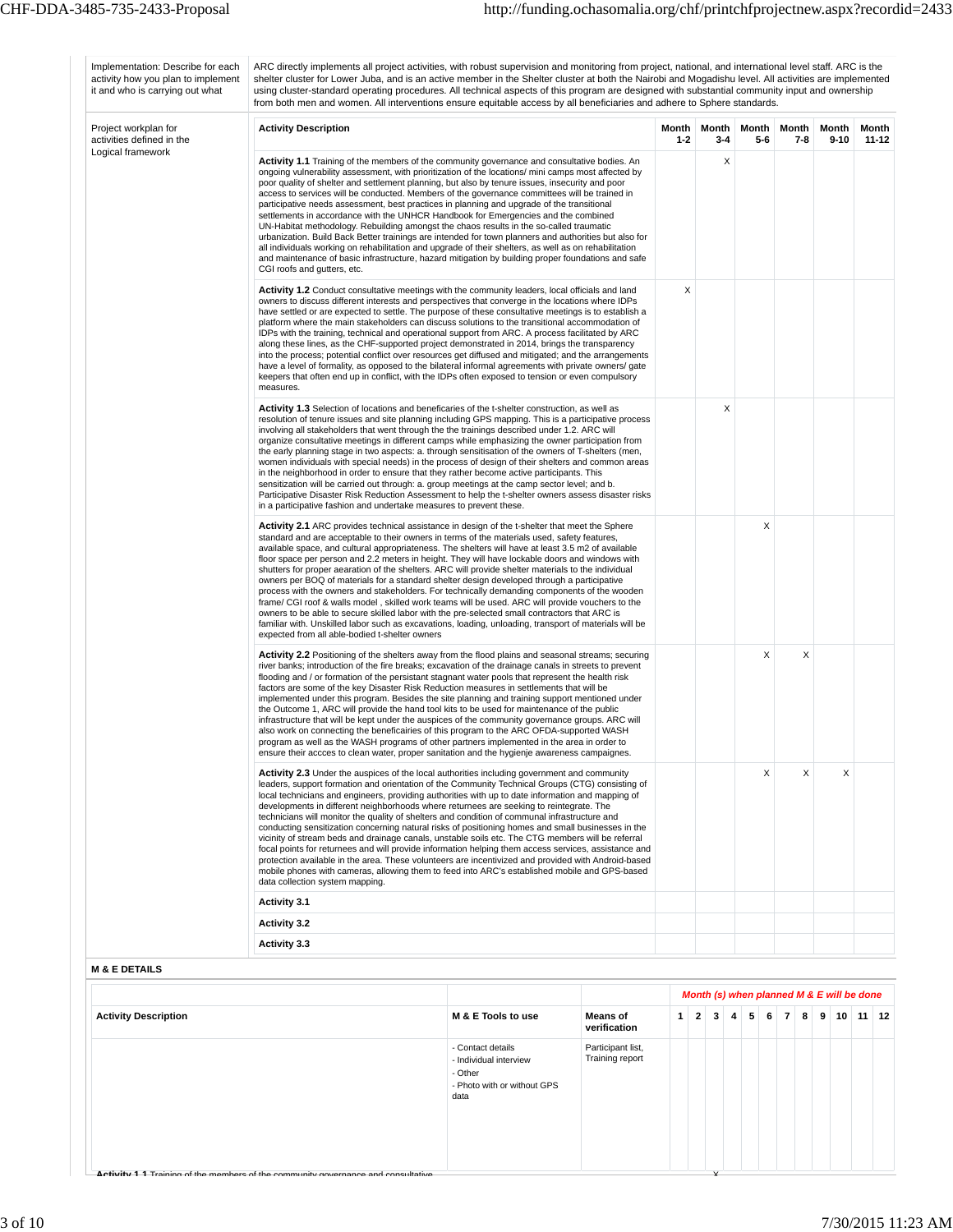| Implementation: Describe for each<br>activity how you plan to implement<br>it and who is carrying out what | ARC directly implements all project activities, with robust supervision and monitoring from project, national, and international level staff. ARC is the<br>shelter cluster for Lower Juba, and is an active member in the Shelter cluster at both the Nairobi and Mogadishu level. All activities are implemented<br>using cluster-standard operating procedures. All technical aspects of this program are designed with substantial community input and ownership<br>from both men and women. All interventions ensure equitable access by all beneficiaries and adhere to Sphere standards.                                                                                                                                                                                                                                                                                                                                                                                                                                                                                       |                                                                                               |                                      |                  |                     |   |                |                     |                                                                   |                |
|------------------------------------------------------------------------------------------------------------|---------------------------------------------------------------------------------------------------------------------------------------------------------------------------------------------------------------------------------------------------------------------------------------------------------------------------------------------------------------------------------------------------------------------------------------------------------------------------------------------------------------------------------------------------------------------------------------------------------------------------------------------------------------------------------------------------------------------------------------------------------------------------------------------------------------------------------------------------------------------------------------------------------------------------------------------------------------------------------------------------------------------------------------------------------------------------------------|-----------------------------------------------------------------------------------------------|--------------------------------------|------------------|---------------------|---|----------------|---------------------|-------------------------------------------------------------------|----------------|
| Project workplan for<br>activities defined in the                                                          | <b>Activity Description</b>                                                                                                                                                                                                                                                                                                                                                                                                                                                                                                                                                                                                                                                                                                                                                                                                                                                                                                                                                                                                                                                           |                                                                                               |                                      | Month<br>$1 - 2$ | Month<br>$3 - 4$    |   | Month<br>$5-6$ | Month<br>$7 - 8$    | Month<br>$9 - 10$                                                 | Month<br>11-12 |
| Logical framework                                                                                          | <b>Activity 1.1</b> Training of the members of the community governance and consultative bodies. An<br>ongoing vulnerability assessment, with prioritization of the locations/ mini camps most affected by<br>poor quality of shelter and settlement planning, but also by tenure issues, insecurity and poor<br>access to services will be conducted. Members of the governance committees will be trained in<br>participative needs assessment, best practices in planning and upgrade of the transitional<br>settlements in accordance with the UNHCR Handbook for Emergencies and the combined<br>UN-Habitat methodology. Rebuilding amongst the chaos results in the so-called traumatic<br>urbanization. Build Back Better trainings are intended for town planners and authorities but also for<br>all individuals working on rehabilitation and upgrade of their shelters, as well as on rehabilitation<br>and maintenance of basic infrastructure, hazard mitigation by building proper foundations and safe<br>CGI roofs and gutters, etc.                                  |                                                                                               |                                      |                  | Χ                   |   |                |                     |                                                                   |                |
|                                                                                                            | <b>Activity 1.2</b> Conduct consultative meetings with the community leaders, local officials and land<br>owners to discuss different interests and perspectives that converge in the locations where IDPs<br>have settled or are expected to settle. The purpose of these consultative meetings is to establish a<br>platform where the main stakeholders can discuss solutions to the transitional accommodation of<br>IDPs with the training, technical and operational support from ARC. A process facilitated by ARC<br>along these lines, as the CHF-supported project demonstrated in 2014, brings the transparency<br>into the process; potential conflict over resources get diffused and mitigated; and the arrangements<br>have a level of formality, as opposed to the bilateral informal agreements with private owners/ gate<br>keepers that often end up in conflict, with the IDPs often exposed to tension or even compulsory<br>measures.                                                                                                                           | X                                                                                             |                                      |                  |                     |   |                |                     |                                                                   |                |
|                                                                                                            | <b>Activity 1.3</b> Selection of locations and beneficaries of the t-shelter construction, as well as<br>resolution of tenure issues and site planning including GPS mapping. This is a participative process<br>involving all stakeholders that went through the the trainings described under 1.2. ARC will<br>organize consultative meetings in different camps while emphasizing the owner participation from<br>the early planning stage in two aspects: a. through sensitisation of the owners of T-shelters (men,<br>women individuals with special needs) in the process of design of their shelters and common areas<br>in the neighborhood in order to ensure that they rather become active participants. This<br>sensitization will be carried out through: a. group meetings at the camp sector level; and b.<br>Participative Disaster Risk Reduction Assessment to help the t-shelter owners assess disaster risks<br>in a participative fashion and undertake measures to prevent these.                                                                              |                                                                                               |                                      |                  |                     | Χ |                |                     |                                                                   |                |
|                                                                                                            | <b>Activity 2.1</b> ARC provides technical assistance in design of the t-shelter that meet the Sphere<br>standard and are acceptable to their owners in terms of the materials used, safety features,<br>available space, and cultural appropriateness. The shelters will have at least 3.5 m2 of available<br>floor space per person and 2.2 meters in height. They will have lockable doors and windows with<br>shutters for proper aearation of the shelters. ARC will provide shelter materials to the individual<br>owners per BOQ of materials for a standard shelter design developed through a participative<br>process with the owners and stakeholders. For technically demanding components of the wooden<br>frame/ CGI roof & walls model, skilled work teams will be used. ARC will provide vouchers to the<br>owners to be able to secure skilled labor with the pre-selected small contractors that ARC is<br>familiar with. Unskilled labor such as excavations, loading, unloading, transport of materials will be<br>expected from all able-bodied t-shelter owners |                                                                                               |                                      |                  |                     |   | Χ              |                     |                                                                   |                |
|                                                                                                            | <b>Activity 2.2</b> Positioning of the shelters away from the flood plains and seasonal streams; securing<br>river banks; introduction of the fire breaks; excavation of the drainage canals in streets to prevent<br>flooding and / or formation of the persistant stagnant water pools that represent the health risk<br>factors are some of the key Disaster Risk Reduction measures in settlements that will be<br>implemented under this program. Besides the site planning and training support mentioned under<br>the Outcome 1, ARC will provide the hand tool kits to be used for maintenance of the public<br>infrastructure that will be kept under the auspices of the community governance groups. ARC will<br>also work on connecting the beneficairies of this program to the ARC OFDA-supported WASH<br>program as well as the WASH programs of other partners implemented in the area in order to<br>ensure their accces to clean water, proper sanitation and the hygienje awareness campaignes                                                                     |                                                                                               |                                      |                  | Χ                   | X |                |                     |                                                                   |                |
|                                                                                                            | Activity 2.3 Under the auspices of the local authorities including government and community<br>leaders, support formation and orientation of the Community Technical Groups (CTG) consisting of<br>local technicians and engineers, providing authorities with up to date information and mapping of<br>developments in different neighborhoods where returnees are seeking to reintegrate. The<br>technicians will monitor the quality of shelters and condition of communal infrastructure and<br>conducting sensitization concerning natural risks of positioning homes and small businesses in the<br>vicinity of stream beds and drainage canals, unstable soils etc. The CTG members will be referral<br>focal points for returnees and will provide information helping them access services, assistance and<br>protection available in the area. These volunteers are incentivized and provided with Android-based<br>mobile phones with cameras, allowing them to feed into ARC's established mobile and GPS-based<br>data collection system mapping.                        |                                                                                               |                                      |                  |                     |   | Χ              | X                   | X                                                                 |                |
|                                                                                                            | <b>Activity 3.1</b>                                                                                                                                                                                                                                                                                                                                                                                                                                                                                                                                                                                                                                                                                                                                                                                                                                                                                                                                                                                                                                                                   |                                                                                               |                                      |                  |                     |   |                |                     |                                                                   |                |
|                                                                                                            | <b>Activity 3.2</b><br><b>Activity 3.3</b>                                                                                                                                                                                                                                                                                                                                                                                                                                                                                                                                                                                                                                                                                                                                                                                                                                                                                                                                                                                                                                            |                                                                                               |                                      |                  |                     |   |                |                     |                                                                   |                |
| <b>M &amp; E DETAILS</b>                                                                                   |                                                                                                                                                                                                                                                                                                                                                                                                                                                                                                                                                                                                                                                                                                                                                                                                                                                                                                                                                                                                                                                                                       |                                                                                               |                                      |                  |                     |   |                |                     |                                                                   |                |
|                                                                                                            |                                                                                                                                                                                                                                                                                                                                                                                                                                                                                                                                                                                                                                                                                                                                                                                                                                                                                                                                                                                                                                                                                       |                                                                                               |                                      |                  |                     |   |                |                     |                                                                   |                |
| <b>Activity Description</b>                                                                                |                                                                                                                                                                                                                                                                                                                                                                                                                                                                                                                                                                                                                                                                                                                                                                                                                                                                                                                                                                                                                                                                                       | M & E Tools to use                                                                            | <b>Means of</b><br>verification      | 1 <sup>1</sup>   | 3<br>$\overline{2}$ | 4 | 6<br>5         | $\overline{7}$<br>8 | Month (s) when planned M & E will be done<br>9<br>10 <sup>1</sup> | $11$   12      |
|                                                                                                            |                                                                                                                                                                                                                                                                                                                                                                                                                                                                                                                                                                                                                                                                                                                                                                                                                                                                                                                                                                                                                                                                                       | - Contact details<br>- Individual interview<br>- Other<br>- Photo with or without GPS<br>data | Participant list,<br>Training report |                  |                     |   |                |                     |                                                                   |                |
|                                                                                                            |                                                                                                                                                                                                                                                                                                                                                                                                                                                                                                                                                                                                                                                                                                                                                                                                                                                                                                                                                                                                                                                                                       |                                                                                               |                                      |                  |                     |   |                |                     |                                                                   |                |

**Activity 1 1** Training of the members of the community governance and consultative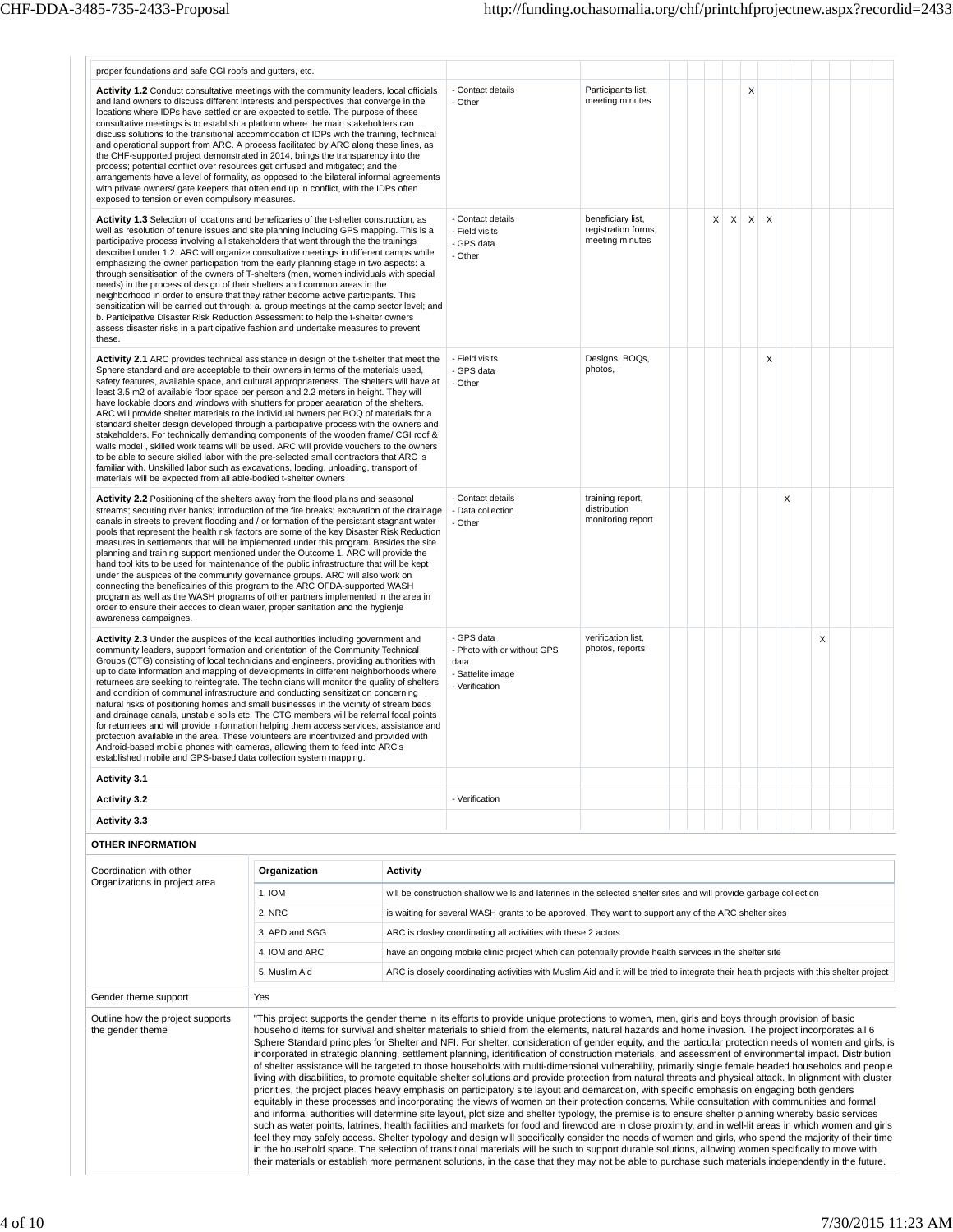| proper foundations and safe CGI roofs and gutters, etc.                                                                                                                                                                                                                                                                                                                                                                                                                                                                                                                                                                                                                                                                                                                                                                                                                                                                                                                                                                                                                           |                          |                                                   |                                                                                                                                                                                                                                                                                                                                                                                                                                                                                                                                                                                                                                                                                                                                                                                                                                                                                                                                                                                                                                                                                                                                                                                                                                                                                                                                                                                                                                                                                                                                                                                                                                                                                                                                                                                                                                                                                                                                                                                                                                                   |                                                             |  |                   |          |   |  |   |  |
|-----------------------------------------------------------------------------------------------------------------------------------------------------------------------------------------------------------------------------------------------------------------------------------------------------------------------------------------------------------------------------------------------------------------------------------------------------------------------------------------------------------------------------------------------------------------------------------------------------------------------------------------------------------------------------------------------------------------------------------------------------------------------------------------------------------------------------------------------------------------------------------------------------------------------------------------------------------------------------------------------------------------------------------------------------------------------------------|--------------------------|---------------------------------------------------|---------------------------------------------------------------------------------------------------------------------------------------------------------------------------------------------------------------------------------------------------------------------------------------------------------------------------------------------------------------------------------------------------------------------------------------------------------------------------------------------------------------------------------------------------------------------------------------------------------------------------------------------------------------------------------------------------------------------------------------------------------------------------------------------------------------------------------------------------------------------------------------------------------------------------------------------------------------------------------------------------------------------------------------------------------------------------------------------------------------------------------------------------------------------------------------------------------------------------------------------------------------------------------------------------------------------------------------------------------------------------------------------------------------------------------------------------------------------------------------------------------------------------------------------------------------------------------------------------------------------------------------------------------------------------------------------------------------------------------------------------------------------------------------------------------------------------------------------------------------------------------------------------------------------------------------------------------------------------------------------------------------------------------------------------|-------------------------------------------------------------|--|-------------------|----------|---|--|---|--|
| Activity 1.2 Conduct consultative meetings with the community leaders, local officials<br>and land owners to discuss different interests and perspectives that converge in the<br>locations where IDPs have settled or are expected to settle. The purpose of these<br>consultative meetings is to establish a platform where the main stakeholders can<br>discuss solutions to the transitional accommodation of IDPs with the training, technical<br>and operational support from ARC. A process facilitated by ARC along these lines, as<br>the CHF-supported project demonstrated in 2014, brings the transparency into the<br>process; potential conflict over resources get diffused and mitigated; and the<br>arrangements have a level of formality, as opposed to the bilateral informal agreements<br>with private owners/ gate keepers that often end up in conflict, with the IDPs often<br>exposed to tension or even compulsory measures.                                                                                                                           |                          |                                                   | - Contact details<br>- Other                                                                                                                                                                                                                                                                                                                                                                                                                                                                                                                                                                                                                                                                                                                                                                                                                                                                                                                                                                                                                                                                                                                                                                                                                                                                                                                                                                                                                                                                                                                                                                                                                                                                                                                                                                                                                                                                                                                                                                                                                      | Participants list,<br>meeting minutes                       |  |                   | X        |   |  |   |  |
| Activity 1.3 Selection of locations and beneficaries of the t-shelter construction, as<br>well as resolution of tenure issues and site planning including GPS mapping. This is a<br>participative process involving all stakeholders that went through the the trainings<br>described under 1.2. ARC will organize consultative meetings in different camps while<br>emphasizing the owner participation from the early planning stage in two aspects: a.<br>through sensitisation of the owners of T-shelters (men, women individuals with special<br>needs) in the process of design of their shelters and common areas in the<br>neighborhood in order to ensure that they rather become active participants. This<br>sensitization will be carried out through: a. group meetings at the camp sector level; and<br>b. Participative Disaster Risk Reduction Assessment to help the t-shelter owners<br>assess disaster risks in a participative fashion and undertake measures to prevent<br>these.                                                                           |                          |                                                   | - Contact details<br>- Field visits<br>- GPS data<br>- Other                                                                                                                                                                                                                                                                                                                                                                                                                                                                                                                                                                                                                                                                                                                                                                                                                                                                                                                                                                                                                                                                                                                                                                                                                                                                                                                                                                                                                                                                                                                                                                                                                                                                                                                                                                                                                                                                                                                                                                                      | beneficiary list.<br>registration forms,<br>meeting minutes |  | X<br>$\mathsf{X}$ | $\times$ | X |  |   |  |
| Activity 2.1 ARC provides technical assistance in design of the t-shelter that meet the<br>Sphere standard and are acceptable to their owners in terms of the materials used,<br>safety features, available space, and cultural appropriateness. The shelters will have at<br>least 3.5 m2 of available floor space per person and 2.2 meters in height. They will<br>have lockable doors and windows with shutters for proper aearation of the shelters.<br>ARC will provide shelter materials to the individual owners per BOQ of materials for a<br>standard shelter design developed through a participative process with the owners and<br>stakeholders. For technically demanding components of the wooden frame/ CGI roof &<br>walls model, skilled work teams will be used. ARC will provide vouchers to the owners<br>to be able to secure skilled labor with the pre-selected small contractors that ARC is<br>familiar with. Unskilled labor such as excavations, loading, unloading, transport of<br>materials will be expected from all able-bodied t-shelter owners |                          | - Field visits<br>- GPS data<br>- Other           | Designs, BOQs,<br>photos,                                                                                                                                                                                                                                                                                                                                                                                                                                                                                                                                                                                                                                                                                                                                                                                                                                                                                                                                                                                                                                                                                                                                                                                                                                                                                                                                                                                                                                                                                                                                                                                                                                                                                                                                                                                                                                                                                                                                                                                                                         |                                                             |  |                   | X        |   |  |   |  |
| Activity 2.2 Positioning of the shelters away from the flood plains and seasonal<br>streams; securing river banks; introduction of the fire breaks; excavation of the drainage<br>canals in streets to prevent flooding and / or formation of the persistant stagnant water<br>pools that represent the health risk factors are some of the key Disaster Risk Reduction<br>measures in settlements that will be implemented under this program. Besides the site<br>planning and training support mentioned under the Outcome 1, ARC will provide the<br>hand tool kits to be used for maintenance of the public infrastructure that will be kept<br>under the auspices of the community governance groups. ARC will also work on<br>connecting the beneficairies of this program to the ARC OFDA-supported WASH<br>program as well as the WASH programs of other partners implemented in the area in<br>order to ensure their accces to clean water, proper sanitation and the hygienje<br>awareness campaignes.                                                                 |                          | - Contact details<br>- Data collection<br>- Other | training report,<br>distribution<br>monitoring report                                                                                                                                                                                                                                                                                                                                                                                                                                                                                                                                                                                                                                                                                                                                                                                                                                                                                                                                                                                                                                                                                                                                                                                                                                                                                                                                                                                                                                                                                                                                                                                                                                                                                                                                                                                                                                                                                                                                                                                             |                                                             |  |                   |          | X |  |   |  |
| Activity 2.3 Under the auspices of the local authorities including government and<br>community leaders, support formation and orientation of the Community Technical<br>Groups (CTG) consisting of local technicians and engineers, providing authorities with<br>up to date information and mapping of developments in different neighborhoods where<br>returnees are seeking to reintegrate. The technicians will monitor the quality of shelters<br>and condition of communal infrastructure and conducting sensitization concerning<br>natural risks of positioning homes and small businesses in the vicinity of stream beds<br>and drainage canals, unstable soils etc. The CTG members will be referral focal points<br>for returnees and will provide information helping them access services, assistance and<br>protection available in the area. These volunteers are incentivized and provided with<br>Android-based mobile phones with cameras, allowing them to feed into ARC's<br>established mobile and GPS-based data collection system mapping                  |                          |                                                   | - GPS data<br>- Photo with or without GPS<br>data<br>- Sattelite image<br>- Verification                                                                                                                                                                                                                                                                                                                                                                                                                                                                                                                                                                                                                                                                                                                                                                                                                                                                                                                                                                                                                                                                                                                                                                                                                                                                                                                                                                                                                                                                                                                                                                                                                                                                                                                                                                                                                                                                                                                                                          | verification list,<br>photos, reports                       |  |                   |          |   |  | X |  |
| <b>Activity 3.1</b>                                                                                                                                                                                                                                                                                                                                                                                                                                                                                                                                                                                                                                                                                                                                                                                                                                                                                                                                                                                                                                                               |                          |                                                   |                                                                                                                                                                                                                                                                                                                                                                                                                                                                                                                                                                                                                                                                                                                                                                                                                                                                                                                                                                                                                                                                                                                                                                                                                                                                                                                                                                                                                                                                                                                                                                                                                                                                                                                                                                                                                                                                                                                                                                                                                                                   |                                                             |  |                   |          |   |  |   |  |
| <b>Activity 3.2</b>                                                                                                                                                                                                                                                                                                                                                                                                                                                                                                                                                                                                                                                                                                                                                                                                                                                                                                                                                                                                                                                               |                          |                                                   | - Verification                                                                                                                                                                                                                                                                                                                                                                                                                                                                                                                                                                                                                                                                                                                                                                                                                                                                                                                                                                                                                                                                                                                                                                                                                                                                                                                                                                                                                                                                                                                                                                                                                                                                                                                                                                                                                                                                                                                                                                                                                                    |                                                             |  |                   |          |   |  |   |  |
| Activity 3.3                                                                                                                                                                                                                                                                                                                                                                                                                                                                                                                                                                                                                                                                                                                                                                                                                                                                                                                                                                                                                                                                      |                          |                                                   |                                                                                                                                                                                                                                                                                                                                                                                                                                                                                                                                                                                                                                                                                                                                                                                                                                                                                                                                                                                                                                                                                                                                                                                                                                                                                                                                                                                                                                                                                                                                                                                                                                                                                                                                                                                                                                                                                                                                                                                                                                                   |                                                             |  |                   |          |   |  |   |  |
| <b>OTHER INFORMATION</b>                                                                                                                                                                                                                                                                                                                                                                                                                                                                                                                                                                                                                                                                                                                                                                                                                                                                                                                                                                                                                                                          |                          |                                                   |                                                                                                                                                                                                                                                                                                                                                                                                                                                                                                                                                                                                                                                                                                                                                                                                                                                                                                                                                                                                                                                                                                                                                                                                                                                                                                                                                                                                                                                                                                                                                                                                                                                                                                                                                                                                                                                                                                                                                                                                                                                   |                                                             |  |                   |          |   |  |   |  |
|                                                                                                                                                                                                                                                                                                                                                                                                                                                                                                                                                                                                                                                                                                                                                                                                                                                                                                                                                                                                                                                                                   |                          |                                                   |                                                                                                                                                                                                                                                                                                                                                                                                                                                                                                                                                                                                                                                                                                                                                                                                                                                                                                                                                                                                                                                                                                                                                                                                                                                                                                                                                                                                                                                                                                                                                                                                                                                                                                                                                                                                                                                                                                                                                                                                                                                   |                                                             |  |                   |          |   |  |   |  |
| Coordination with other<br>Organizations in project area                                                                                                                                                                                                                                                                                                                                                                                                                                                                                                                                                                                                                                                                                                                                                                                                                                                                                                                                                                                                                          | Organization             | <b>Activity</b>                                   |                                                                                                                                                                                                                                                                                                                                                                                                                                                                                                                                                                                                                                                                                                                                                                                                                                                                                                                                                                                                                                                                                                                                                                                                                                                                                                                                                                                                                                                                                                                                                                                                                                                                                                                                                                                                                                                                                                                                                                                                                                                   |                                                             |  |                   |          |   |  |   |  |
|                                                                                                                                                                                                                                                                                                                                                                                                                                                                                                                                                                                                                                                                                                                                                                                                                                                                                                                                                                                                                                                                                   | 1. IOM                   |                                                   | will be construction shallow wells and laterines in the selected shelter sites and will provide garbage collection                                                                                                                                                                                                                                                                                                                                                                                                                                                                                                                                                                                                                                                                                                                                                                                                                                                                                                                                                                                                                                                                                                                                                                                                                                                                                                                                                                                                                                                                                                                                                                                                                                                                                                                                                                                                                                                                                                                                |                                                             |  |                   |          |   |  |   |  |
|                                                                                                                                                                                                                                                                                                                                                                                                                                                                                                                                                                                                                                                                                                                                                                                                                                                                                                                                                                                                                                                                                   | 2. NRC<br>3. APD and SGG |                                                   | is waiting for several WASH grants to be approved. They want to support any of the ARC shelter sites                                                                                                                                                                                                                                                                                                                                                                                                                                                                                                                                                                                                                                                                                                                                                                                                                                                                                                                                                                                                                                                                                                                                                                                                                                                                                                                                                                                                                                                                                                                                                                                                                                                                                                                                                                                                                                                                                                                                              |                                                             |  |                   |          |   |  |   |  |
|                                                                                                                                                                                                                                                                                                                                                                                                                                                                                                                                                                                                                                                                                                                                                                                                                                                                                                                                                                                                                                                                                   | 4. IOM and ARC           |                                                   | ARC is closley coordinating all activities with these 2 actors<br>have an ongoing mobile clinic project which can potentially provide health services in the shelter site                                                                                                                                                                                                                                                                                                                                                                                                                                                                                                                                                                                                                                                                                                                                                                                                                                                                                                                                                                                                                                                                                                                                                                                                                                                                                                                                                                                                                                                                                                                                                                                                                                                                                                                                                                                                                                                                         |                                                             |  |                   |          |   |  |   |  |
|                                                                                                                                                                                                                                                                                                                                                                                                                                                                                                                                                                                                                                                                                                                                                                                                                                                                                                                                                                                                                                                                                   | 5. Muslim Aid            |                                                   | ARC is closely coordinating activities with Muslim Aid and it will be tried to integrate their health projects with this shelter project                                                                                                                                                                                                                                                                                                                                                                                                                                                                                                                                                                                                                                                                                                                                                                                                                                                                                                                                                                                                                                                                                                                                                                                                                                                                                                                                                                                                                                                                                                                                                                                                                                                                                                                                                                                                                                                                                                          |                                                             |  |                   |          |   |  |   |  |
|                                                                                                                                                                                                                                                                                                                                                                                                                                                                                                                                                                                                                                                                                                                                                                                                                                                                                                                                                                                                                                                                                   |                          |                                                   |                                                                                                                                                                                                                                                                                                                                                                                                                                                                                                                                                                                                                                                                                                                                                                                                                                                                                                                                                                                                                                                                                                                                                                                                                                                                                                                                                                                                                                                                                                                                                                                                                                                                                                                                                                                                                                                                                                                                                                                                                                                   |                                                             |  |                   |          |   |  |   |  |
| Gender theme support<br>Outline how the project supports<br>the gender theme                                                                                                                                                                                                                                                                                                                                                                                                                                                                                                                                                                                                                                                                                                                                                                                                                                                                                                                                                                                                      | Yes                      |                                                   | "This project supports the gender theme in its efforts to provide unique protections to women, men, girls and boys through provision of basic<br>household items for survival and shelter materials to shield from the elements, natural hazards and home invasion. The project incorporates all 6<br>Sphere Standard principles for Shelter and NFI. For shelter, consideration of gender equity, and the particular protection needs of women and girls, is<br>incorporated in strategic planning, settlement planning, identification of construction materials, and assessment of environmental impact. Distribution<br>of shelter assistance will be targeted to those households with multi-dimensional vulnerability, primarily single female headed households and people<br>living with disabilities, to promote equitable shelter solutions and provide protection from natural threats and physical attack. In alignment with cluster<br>priorities, the project places heavy emphasis on participatory site layout and demarcation, with specific emphasis on engaging both genders<br>equitably in these processes and incorporating the views of women on their protection concerns. While consultation with communities and formal<br>and informal authorities will determine site layout, plot size and shelter typology, the premise is to ensure shelter planning whereby basic services<br>such as water points, latrines, health facilities and markets for food and firewood are in close proximity, and in well-lit areas in which women and girls<br>feel they may safely access. Shelter typology and design will specifically consider the needs of women and girls, who spend the majority of their time<br>in the household space. The selection of transitional materials will be such to support durable solutions, allowing women specifically to move with<br>their materials or establish more permanent solutions, in the case that they may not be able to purchase such materials independently in the future. |                                                             |  |                   |          |   |  |   |  |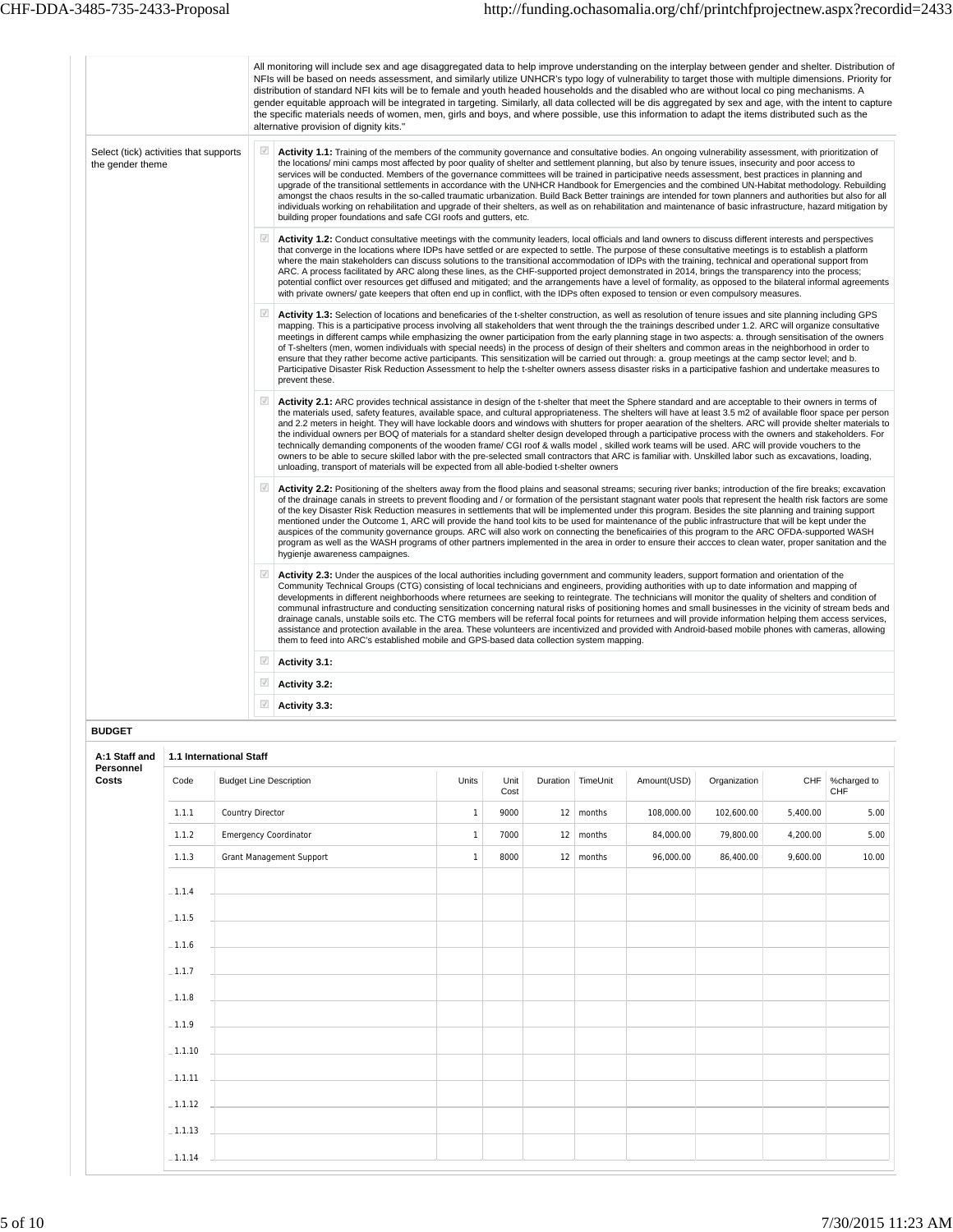|                                                            | All monitoring will include sex and age disaggregated data to help improve understanding on the interplay between gender and shelter. Distribution of<br>NFIs will be based on needs assessment, and similarly utilize UNHCR's typo logy of vulnerability to target those with multiple dimensions. Priority for<br>distribution of standard NFI kits will be to female and youth headed households and the disabled who are without local co ping mechanisms. A<br>gender equitable approach will be integrated in targeting. Similarly, all data collected will be dis aggregated by sex and age, with the intent to capture<br>the specific materials needs of women, men, girls and boys, and where possible, use this information to adapt the items distributed such as the<br>alternative provision of dignity kits."                                                                                                                                                                                                                                                        |
|------------------------------------------------------------|-------------------------------------------------------------------------------------------------------------------------------------------------------------------------------------------------------------------------------------------------------------------------------------------------------------------------------------------------------------------------------------------------------------------------------------------------------------------------------------------------------------------------------------------------------------------------------------------------------------------------------------------------------------------------------------------------------------------------------------------------------------------------------------------------------------------------------------------------------------------------------------------------------------------------------------------------------------------------------------------------------------------------------------------------------------------------------------|
| Select (tick) activities that supports<br>the gender theme | Activity 1.1: Training of the members of the community governance and consultative bodies. An ongoing vulnerability assessment, with prioritization of<br>the locations/mini camps most affected by poor quality of shelter and settlement planning, but also by tenure issues, insecurity and poor access to<br>services will be conducted. Members of the governance committees will be trained in participative needs assessment, best practices in planning and<br>upgrade of the transitional settlements in accordance with the UNHCR Handbook for Emergencies and the combined UN-Habitat methodology. Rebuilding<br>amongst the chaos results in the so-called traumatic urbanization. Build Back Better trainings are intended for town planners and authorities but also for all<br>individuals working on rehabilitation and upgrade of their shelters, as well as on rehabilitation and maintenance of basic infrastructure, hazard mitigation by<br>building proper foundations and safe CGI roofs and gutters, etc.                                                   |
|                                                            | $\sqrt{}$<br>Activity 1.2: Conduct consultative meetings with the community leaders, local officials and land owners to discuss different interests and perspectives<br>that converge in the locations where IDPs have settled or are expected to settle. The purpose of these consultative meetings is to establish a platform<br>where the main stakeholders can discuss solutions to the transitional accommodation of IDPs with the training, technical and operational support from<br>ARC. A process facilitated by ARC along these lines, as the CHF-supported project demonstrated in 2014, brings the transparency into the process;<br>potential conflict over resources get diffused and mitigated; and the arrangements have a level of formality, as opposed to the bilateral informal agreements<br>with private owners/ gate keepers that often end up in conflict, with the IDPs often exposed to tension or even compulsory measures.                                                                                                                              |
|                                                            | $\sqrt{}$<br><b>Activity 1.3:</b> Selection of locations and beneficaries of the t-shelter construction, as well as resolution of tenure issues and site planning including GPS<br>mapping. This is a participative process involving all stakeholders that went through the the trainings described under 1.2. ARC will organize consultative<br>meetings in different camps while emphasizing the owner participation from the early planning stage in two aspects: a. through sensitisation of the owners<br>of T-shelters (men, women individuals with special needs) in the process of design of their shelters and common areas in the neighborhood in order to<br>ensure that they rather become active participants. This sensitization will be carried out through: a. group meetings at the camp sector level; and b.<br>Participative Disaster Risk Reduction Assessment to help the t-shelter owners assess disaster risks in a participative fashion and undertake measures to<br>prevent these.                                                                       |
|                                                            | $\checkmark$<br>Activity 2.1: ARC provides technical assistance in design of the t-shelter that meet the Sphere standard and are acceptable to their owners in terms of<br>the materials used, safety features, available space, and cultural appropriateness. The shelters will have at least 3.5 m2 of available floor space per person<br>and 2.2 meters in height. They will have lockable doors and windows with shutters for proper aearation of the shelters. ARC will provide shelter materials to<br>the individual owners per BOQ of materials for a standard shelter design developed through a participative process with the owners and stakeholders. For<br>technically demanding components of the wooden frame/ CGI roof & walls model, skilled work teams will be used. ARC will provide vouchers to the<br>owners to be able to secure skilled labor with the pre-selected small contractors that ARC is familiar with. Unskilled labor such as excavations, loading,<br>unloading, transport of materials will be expected from all able-bodied t-shelter owners |
|                                                            | $\sqrt{}$<br>Activity 2.2: Positioning of the shelters away from the flood plains and seasonal streams; securing river banks; introduction of the fire breaks; excavation<br>of the drainage canals in streets to prevent flooding and / or formation of the persistant stagnant water pools that represent the health risk factors are some<br>of the key Disaster Risk Reduction measures in settlements that will be implemented under this program. Besides the site planning and training support<br>mentioned under the Outcome 1, ARC will provide the hand tool kits to be used for maintenance of the public infrastructure that will be kept under the<br>auspices of the community governance groups. ARC will also work on connecting the beneficairies of this program to the ARC OFDA-supported WASH<br>program as well as the WASH programs of other partners implemented in the area in order to ensure their accces to clean water, proper sanitation and the<br>hygienje awareness campaignes.                                                                    |
|                                                            | $\checkmark$<br>Activity 2.3: Under the auspices of the local authorities including government and community leaders, support formation and orientation of the<br>Community Technical Groups (CTG) consisting of local technicians and engineers, providing authorities with up to date information and mapping of<br>developments in different neighborhoods where returnees are seeking to reintegrate. The technicians will monitor the quality of shelters and condition of<br>communal infrastructure and conducting sensitization concerning natural risks of positioning homes and small businesses in the vicinity of stream beds and<br>drainage canals, unstable soils etc. The CTG members will be referral focal points for returnees and will provide information helping them access services,<br>assistance and protection available in the area. These volunteers are incentivized and provided with Android-based mobile phones with cameras, allowing<br>them to feed into ARC's established mobile and GPS-based data collection system mapping.                 |
|                                                            | $\overline{\mathcal{A}}$<br>Activity 3.1:                                                                                                                                                                                                                                                                                                                                                                                                                                                                                                                                                                                                                                                                                                                                                                                                                                                                                                                                                                                                                                           |
|                                                            | $\sqrt{}$<br>Activity 3.2:                                                                                                                                                                                                                                                                                                                                                                                                                                                                                                                                                                                                                                                                                                                                                                                                                                                                                                                                                                                                                                                          |
|                                                            | $\sqrt{ }$<br>Activity 3.3:                                                                                                                                                                                                                                                                                                                                                                                                                                                                                                                                                                                                                                                                                                                                                                                                                                                                                                                                                                                                                                                         |

| A:1 Staff and      |           | 1.1 International Staff                                                                   |              |              |    |                   |             |              |          |                        |  |  |  |  |  |
|--------------------|-----------|-------------------------------------------------------------------------------------------|--------------|--------------|----|-------------------|-------------|--------------|----------|------------------------|--|--|--|--|--|
| Personnel<br>Costs | Code      | <b>Budget Line Description</b>                                                            | Units        | Unit<br>Cost |    | Duration TimeUnit | Amount(USD) | Organization |          | CHF %charged to<br>CHF |  |  |  |  |  |
|                    | 1.1.1     | Country Director                                                                          | $\mathbf{1}$ | 9000         | 12 | months            | 108,000.00  | 102,600.00   | 5,400.00 | 5.00                   |  |  |  |  |  |
|                    | 1.1.2     | <b>Emergency Coordinator</b>                                                              | $\mathbf{1}$ | 7000         |    | $12 \mid$ months  | 84,000.00   | 79,800.00    | 4,200.00 | 5.00                   |  |  |  |  |  |
|                    | 1.1.3     | <b>Grant Management Support</b>                                                           | $\mathbf{1}$ | 8000         |    | $12 \mid$ months  | 96,000.00   | 86,400.00    | 9,600.00 | 10.00                  |  |  |  |  |  |
|                    | $-1.1.4$  |                                                                                           |              |              |    |                   |             |              |          |                        |  |  |  |  |  |
|                    | $-1.1.5$  |                                                                                           |              |              |    |                   |             |              |          |                        |  |  |  |  |  |
|                    | $-1.1.6$  | the control of the control of the control of the control of the control of                |              |              |    |                   |             |              |          |                        |  |  |  |  |  |
|                    | $-1.1.7$  |                                                                                           |              |              |    |                   |             |              |          |                        |  |  |  |  |  |
|                    | $-1.1.8$  |                                                                                           |              |              |    |                   |             |              |          |                        |  |  |  |  |  |
|                    | $-1.1.9$  | the control of the control of the control of the control of the control of the control of |              |              |    |                   |             |              |          |                        |  |  |  |  |  |
|                    | $-1.1.10$ |                                                                                           |              |              |    |                   |             |              |          |                        |  |  |  |  |  |
|                    | $-1.1.11$ |                                                                                           |              |              |    |                   |             |              |          |                        |  |  |  |  |  |
|                    | $-1.1.12$ |                                                                                           |              |              |    |                   |             |              |          |                        |  |  |  |  |  |
|                    | $-1.1.13$ |                                                                                           |              |              |    |                   |             |              |          |                        |  |  |  |  |  |
|                    | $-1.1.14$ |                                                                                           |              |              |    |                   |             |              |          |                        |  |  |  |  |  |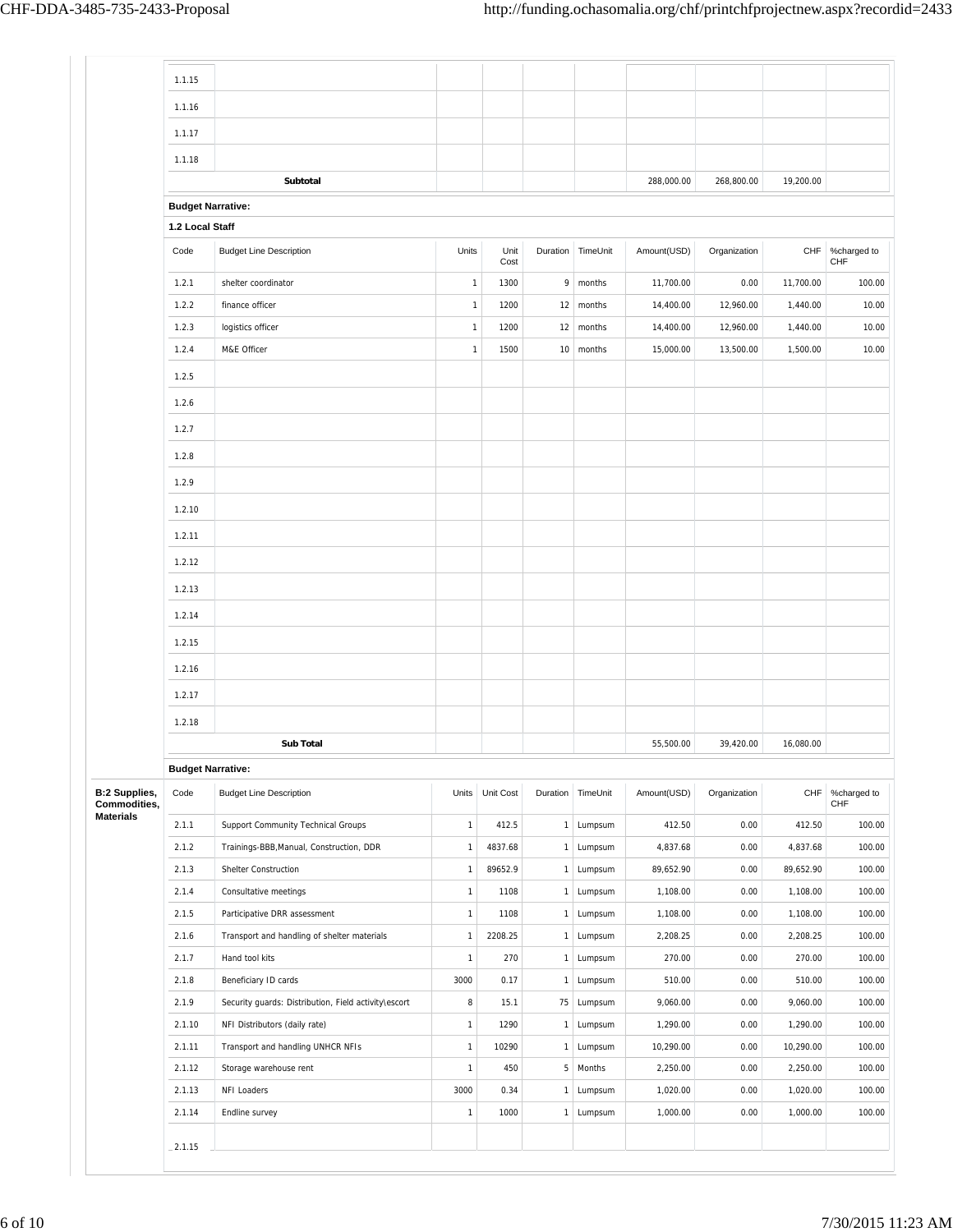|                                      | 1.1.15                   |                                                             |                              |              |                   |                     |                       |              |                       |                           |
|--------------------------------------|--------------------------|-------------------------------------------------------------|------------------------------|--------------|-------------------|---------------------|-----------------------|--------------|-----------------------|---------------------------|
|                                      | 1.1.16                   |                                                             |                              |              |                   |                     |                       |              |                       |                           |
|                                      |                          |                                                             |                              |              |                   |                     |                       |              |                       |                           |
|                                      | 1.1.17                   |                                                             |                              |              |                   |                     |                       |              |                       |                           |
|                                      | 1.1.18                   |                                                             |                              |              |                   |                     |                       |              |                       |                           |
|                                      |                          | Subtotal                                                    |                              |              |                   |                     | 288,000.00            | 268,800.00   | 19,200.00             |                           |
|                                      | <b>Budget Narrative:</b> |                                                             |                              |              |                   |                     |                       |              |                       |                           |
|                                      | 1.2 Local Staff          |                                                             |                              |              |                   |                     |                       |              |                       |                           |
|                                      | Code                     | <b>Budget Line Description</b>                              | Units                        | Unit<br>Cost |                   | Duration   TimeUnit | Amount(USD)           | Organization |                       | CHF %charged to<br>CHF    |
|                                      | 1.2.1                    | shelter coordinator                                         | $\mathbf{1}$                 | 1300         | 9                 | months              | 11,700.00             | 0.00         | 11,700.00             | 100.00                    |
|                                      | 1.2.2                    | finance officer                                             | $\mathbf{1}$                 | 1200         |                   | 12 months           | 14,400.00             | 12,960.00    | 1,440.00              | 10.00                     |
|                                      | 1.2.3                    | logistics officer                                           | $\mathbf{1}$                 | 1200         | 12                | months              | 14,400.00             | 12,960.00    | 1,440.00              | 10.00                     |
|                                      | 1.2.4                    | M&E Officer                                                 | $\mathbf{1}$                 | 1500         | 10                | months              | 15,000.00             | 13,500.00    | 1,500.00              | 10.00                     |
|                                      | 1.2.5                    |                                                             |                              |              |                   |                     |                       |              |                       |                           |
|                                      | 1.2.6                    |                                                             |                              |              |                   |                     |                       |              |                       |                           |
|                                      | 1.2.7                    |                                                             |                              |              |                   |                     |                       |              |                       |                           |
|                                      | 1.2.8                    |                                                             |                              |              |                   |                     |                       |              |                       |                           |
|                                      | 1.2.9                    |                                                             |                              |              |                   |                     |                       |              |                       |                           |
|                                      |                          |                                                             |                              |              |                   |                     |                       |              |                       |                           |
|                                      | 1.2.10                   |                                                             |                              |              |                   |                     |                       |              |                       |                           |
|                                      | 1.2.11                   |                                                             |                              |              |                   |                     |                       |              |                       |                           |
|                                      | 1.2.12                   |                                                             |                              |              |                   |                     |                       |              |                       |                           |
|                                      | 1.2.13                   |                                                             |                              |              |                   |                     |                       |              |                       |                           |
|                                      | 1.2.14                   |                                                             |                              |              |                   |                     |                       |              |                       |                           |
|                                      | 1.2.15                   |                                                             |                              |              |                   |                     |                       |              |                       |                           |
|                                      | 1.2.16                   |                                                             |                              |              |                   |                     |                       |              |                       |                           |
|                                      | 1.2.17                   |                                                             |                              |              |                   |                     |                       |              |                       |                           |
|                                      |                          |                                                             |                              |              |                   |                     |                       |              |                       |                           |
|                                      | 1.2.18                   | <b>Sub Total</b>                                            |                              |              |                   |                     | 55,500.00             | 39.420.00    | 16,080.00             |                           |
|                                      |                          |                                                             |                              |              |                   |                     |                       |              |                       |                           |
|                                      | <b>Budget Narrative:</b> |                                                             |                              |              |                   |                     |                       |              |                       |                           |
| <b>B:2 Supplies,</b><br>Commodities, | Code                     | <b>Budget Line Description</b>                              | Units                        | Unit Cost    |                   | Duration TimeUnit   | Amount(USD)           | Organization | CHF                   | %charged to<br><b>CHF</b> |
| Materials                            | 2.1.1                    | Support Community Technical Groups                          | $\mathbf{1}$                 | 412.5        | $\mathbf{1}$      | Lumpsum             | 412.50                | 0.00         | 412.50                | 100.00                    |
|                                      | 2.1.2                    | Trainings-BBB, Manual, Construction, DDR                    | $\mathbf{1}$                 | 4837.68      | $\mathbf{1}$      | Lumpsum             | 4,837.68              | 0.00         | 4,837.68              | 100.00                    |
|                                      | 2.1.3                    | Shelter Construction                                        | $\mathbf{1}$                 | 89652.9      | $\mathbf{1}$      | Lumpsum             | 89,652.90             | 0.00         | 89,652.90             | 100.00                    |
|                                      | 2.1.4                    | Consultative meetings                                       | $\mathbf{1}$                 | 1108         | $\mathbf{1}$      | Lumpsum             | 1,108.00              | 0.00         | 1,108.00              | 100.00                    |
|                                      | 2.1.5                    | Participative DRR assessment                                | $\mathbf{1}$                 | 1108         | $\mathbf{1}$      | Lumpsum             | 1,108.00              | 0.00         | 1,108.00              | 100.00                    |
|                                      | 2.1.6                    | Transport and handling of shelter materials                 | $\mathbf{1}$                 | 2208.25      | $\mathbf{1}$      | Lumpsum             | 2,208.25              | 0.00         | 2,208.25              | 100.00                    |
|                                      | 2.1.7                    | Hand tool kits                                              | $\mathbf{1}$                 | 270          | $\overline{1}$    | Lumpsum             | 270.00                | 0.00         | 270.00                | 100.00                    |
|                                      | 2.1.8                    | Beneficiary ID cards                                        | 3000                         | 0.17         | $\mathbf{1}$      | Lumpsum             | 510.00                | 0.00         | 510.00                | 100.00                    |
|                                      | 2.1.9                    | Security guards: Distribution, Field activity\escort        | $\bf 8$                      | 15.1         | 75                | Lumpsum             | 9,060.00              | 0.00         | 9,060.00              | 100.00                    |
|                                      | 2.1.10                   | NFI Distributors (daily rate)                               | $\mathbf{1}$                 | 1290         | $\mathbf{1}$      | Lumpsum             | 1,290.00              | 0.00         | 1,290.00              | 100.00                    |
|                                      | 2.1.11<br>2.1.12         | Transport and handling UNHCR NFIs<br>Storage warehouse rent | $\mathbf{1}$<br>$\mathbf{1}$ | 10290<br>450 | $\mathbf{1}$<br>5 | Lumpsum<br>Months   | 10,290.00<br>2,250.00 | 0.00<br>0.00 | 10,290.00<br>2,250.00 | 100.00<br>100.00          |
|                                      | 2.1.13                   | NFI Loaders                                                 | 3000                         | 0.34         | $\mathbf{1}$      | Lumpsum             | 1,020.00              | 0.00         | 1,020.00              | 100.00                    |
|                                      | 2.1.14                   | Endline survey                                              | $\mathbf{1}$                 | 1000         | $\mathbf{1}$      | Lumpsum             | 1,000.00              | 0.00         | 1,000.00              | 100.00                    |
|                                      |                          |                                                             |                              |              |                   |                     |                       |              |                       |                           |
|                                      | $-2.1.15$                |                                                             |                              |              |                   |                     |                       |              |                       |                           |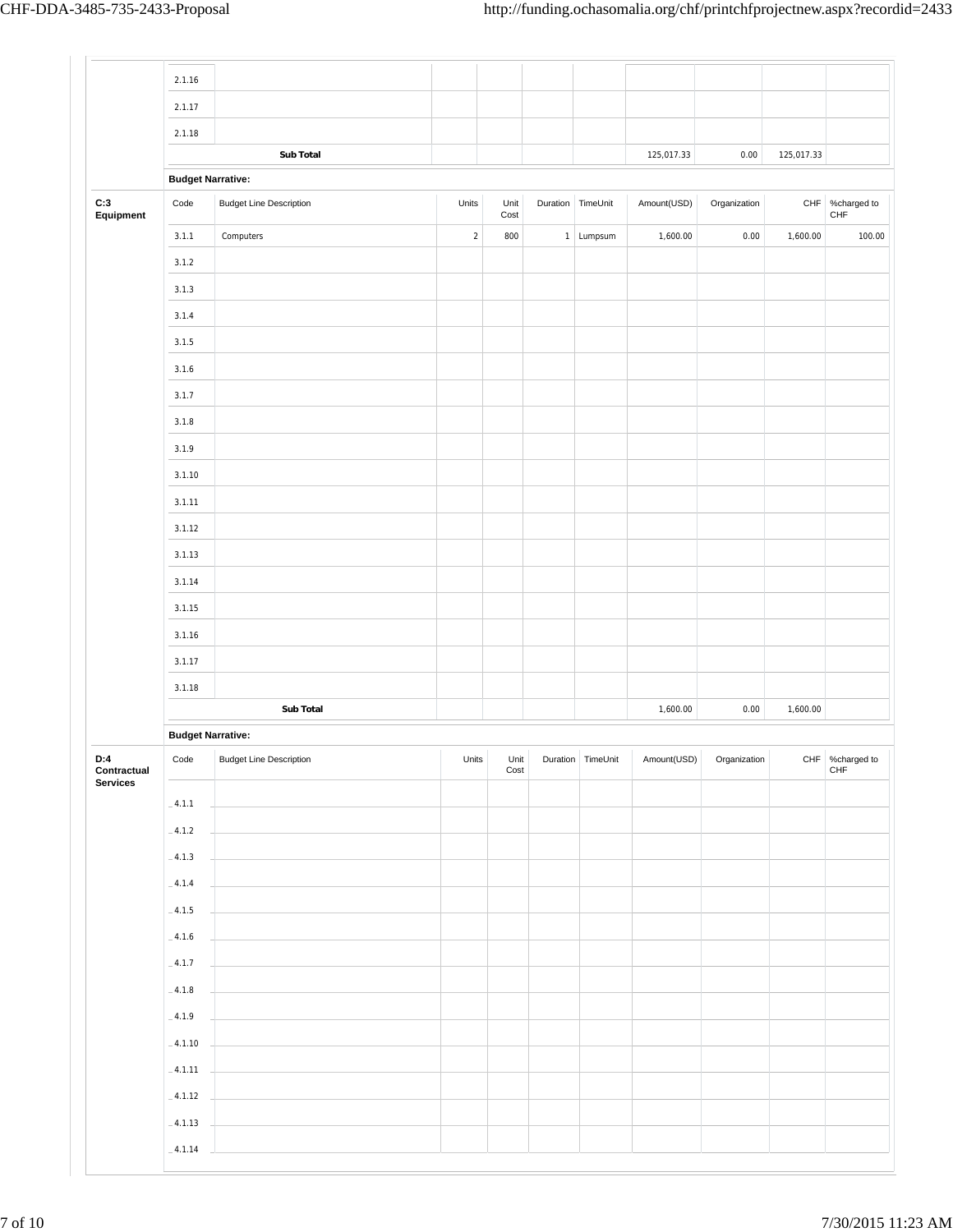|                                | 2.1.16                   |                                |            |              |                   |             |              |            |                        |
|--------------------------------|--------------------------|--------------------------------|------------|--------------|-------------------|-------------|--------------|------------|------------------------|
|                                | 2.1.17                   |                                |            |              |                   |             |              |            |                        |
|                                | 2.1.18                   |                                |            |              |                   |             |              |            |                        |
|                                |                          | Sub Total                      |            |              |                   | 125,017.33  | 0.00         | 125,017.33 |                        |
|                                | <b>Budget Narrative:</b> |                                |            |              |                   |             |              |            |                        |
| C:3<br>Equipment               | $\textsf{Code}{}$        | <b>Budget Line Description</b> | Units      | Unit<br>Cost | Duration TimeUnit | Amount(USD) | Organization |            | CHF %charged to<br>CHF |
|                                | 3.1.1                    | Computers                      | $\sqrt{2}$ | 800          | 1 Lumpsum         | 1,600.00    | 0.00         | 1,600.00   | 100.00                 |
|                                | 3.1.2                    |                                |            |              |                   |             |              |            |                        |
|                                | 3.1.3                    |                                |            |              |                   |             |              |            |                        |
|                                | 3.1.4                    |                                |            |              |                   |             |              |            |                        |
|                                | 3.1.5                    |                                |            |              |                   |             |              |            |                        |
|                                | 3.1.6                    |                                |            |              |                   |             |              |            |                        |
|                                | 3.1.7                    |                                |            |              |                   |             |              |            |                        |
|                                | 3.1.8                    |                                |            |              |                   |             |              |            |                        |
|                                | 3.1.9                    |                                |            |              |                   |             |              |            |                        |
|                                | 3.1.10                   |                                |            |              |                   |             |              |            |                        |
|                                | 3.1.11                   |                                |            |              |                   |             |              |            |                        |
|                                | 3.1.12                   |                                |            |              |                   |             |              |            |                        |
|                                | 3.1.13                   |                                |            |              |                   |             |              |            |                        |
|                                | 3.1.14                   |                                |            |              |                   |             |              |            |                        |
|                                | 3.1.15                   |                                |            |              |                   |             |              |            |                        |
|                                |                          |                                |            |              |                   |             |              |            |                        |
|                                | 3.1.16                   |                                |            |              |                   |             |              |            |                        |
|                                | 3.1.17                   |                                |            |              |                   |             |              |            |                        |
|                                | 3.1.18                   | Sub Total                      |            |              |                   | 1,600.00    | 0.00         | 1,600.00   |                        |
|                                |                          |                                |            |              |                   |             |              |            |                        |
|                                | <b>Budget Narrative:</b> |                                |            |              |                   |             |              |            |                        |
| D:4<br>Contractual<br>Services | Code                     | <b>Budget Line Description</b> | Units      | Unit<br>Cost | Duration TimeUnit | Amount(USD) | Organization |            | CHF %charged to<br>CHF |
|                                | $-4.1.1$                 |                                |            |              |                   |             |              |            |                        |
|                                | $-4.1.2$                 |                                |            |              |                   |             |              |            |                        |
|                                | $-4.1.3$                 |                                |            |              |                   |             |              |            |                        |
|                                | $-4.1.4$                 |                                |            |              |                   |             |              |            |                        |
|                                | $-4.1.5$                 |                                |            |              |                   |             |              |            |                        |
|                                | $-4.1.6$                 |                                |            |              |                   |             |              |            |                        |
|                                | $\_4.1.7$                |                                |            |              |                   |             |              |            |                        |
|                                | $\_$ 4.1.8 $\,$          |                                |            |              |                   |             |              |            |                        |
|                                | $-4.1.9$                 |                                |            |              |                   |             |              |            |                        |
|                                | $-4.1.10$                |                                |            |              |                   |             |              |            |                        |
|                                | $-4.1.11$                |                                |            |              |                   |             |              |            |                        |
|                                |                          |                                |            |              |                   |             |              |            |                        |
|                                | $-4.1.12$                |                                |            |              |                   |             |              |            |                        |
|                                | $-4.1.13$                |                                |            |              |                   |             |              |            |                        |
|                                | $-4.1.14$                |                                |            |              |                   |             |              |            |                        |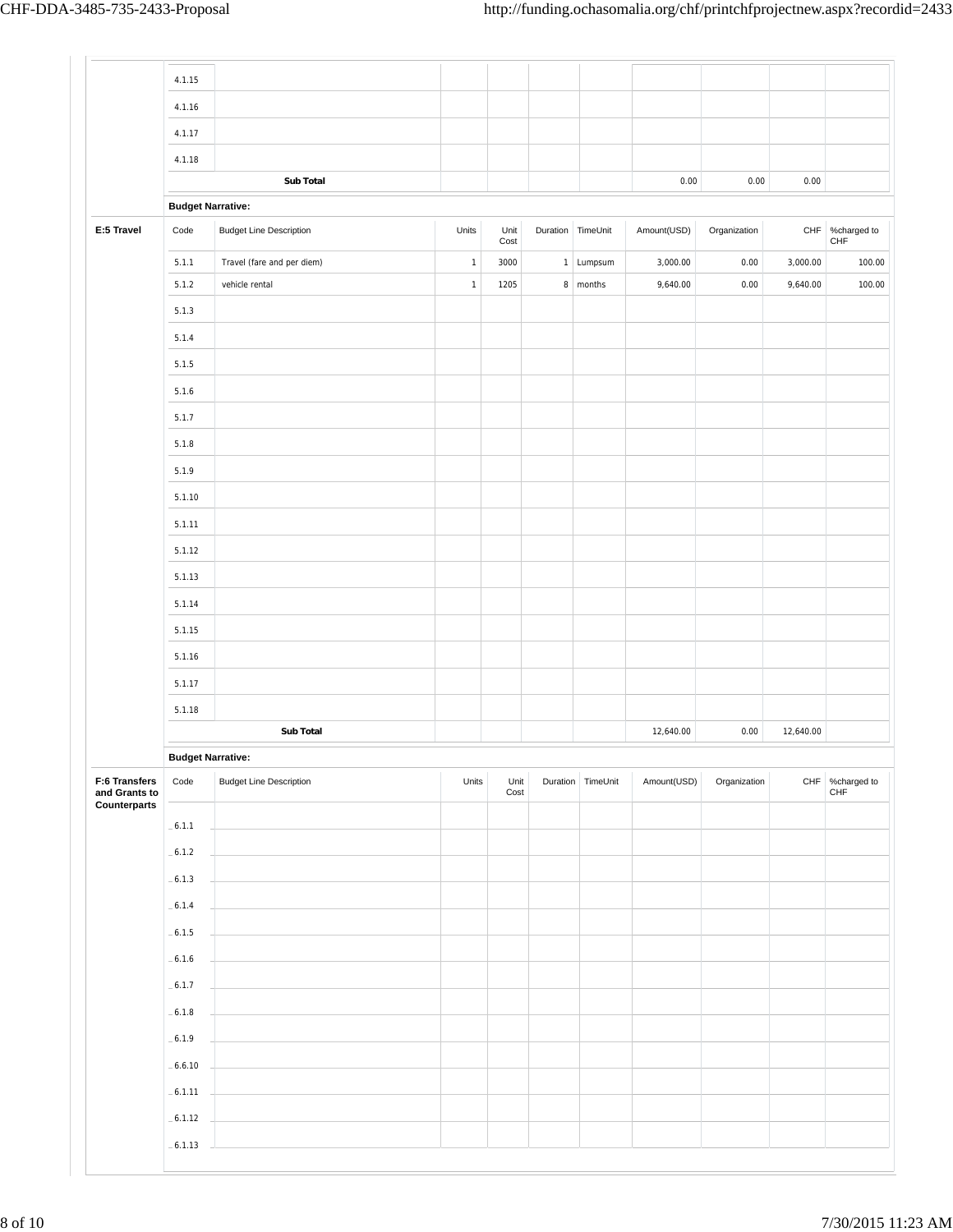|                                | 4.1.15                   |                                |              |              |                   |             |              |           |                                |
|--------------------------------|--------------------------|--------------------------------|--------------|--------------|-------------------|-------------|--------------|-----------|--------------------------------|
|                                | 4.1.16                   |                                |              |              |                   |             |              |           |                                |
|                                | 4.1.17                   |                                |              |              |                   |             |              |           |                                |
|                                | 4.1.18                   |                                |              |              |                   |             |              |           |                                |
|                                |                          | <b>Sub Total</b>               |              |              |                   | $0.00\,$    | 0.00         | 0.00      |                                |
|                                | <b>Budget Narrative:</b> |                                |              |              |                   |             |              |           |                                |
| E:5 Travel                     | Code                     | <b>Budget Line Description</b> | Units        | Unit<br>Cost | Duration TimeUnit | Amount(USD) | Organization |           | CHF %charged to<br>${\sf CHF}$ |
|                                | 5.1.1                    | Travel (fare and per diem)     | $\mathbf{1}$ | 3000         | 1 Lumpsum         | 3,000.00    | 0.00         | 3,000.00  | 100.00                         |
|                                | 5.1.2                    | vehicle rental                 | $\mathbf{1}$ | 1205         | 8 months          | 9,640.00    | 0.00         | 9,640.00  | 100.00                         |
|                                | 5.1.3                    |                                |              |              |                   |             |              |           |                                |
|                                | 5.1.4                    |                                |              |              |                   |             |              |           |                                |
|                                | 5.1.5                    |                                |              |              |                   |             |              |           |                                |
|                                | 5.1.6                    |                                |              |              |                   |             |              |           |                                |
|                                | 5.1.7                    |                                |              |              |                   |             |              |           |                                |
|                                | 5.1.8                    |                                |              |              |                   |             |              |           |                                |
|                                | 5.1.9                    |                                |              |              |                   |             |              |           |                                |
|                                | 5.1.10                   |                                |              |              |                   |             |              |           |                                |
|                                | 5.1.11                   |                                |              |              |                   |             |              |           |                                |
|                                | 5.1.12                   |                                |              |              |                   |             |              |           |                                |
|                                | 5.1.13                   |                                |              |              |                   |             |              |           |                                |
|                                | 5.1.14                   |                                |              |              |                   |             |              |           |                                |
|                                |                          |                                |              |              |                   |             |              |           |                                |
|                                | 5.1.15                   |                                |              |              |                   |             |              |           |                                |
|                                | 5.1.16                   |                                |              |              |                   |             |              |           |                                |
|                                | 5.1.17                   |                                |              |              |                   |             |              |           |                                |
|                                | 5.1.18                   |                                |              |              |                   |             |              |           |                                |
|                                |                          | Sub Total                      |              |              |                   | 12,640.00   | 0.00         | 12,640.00 |                                |
|                                | <b>Budget Narrative:</b> |                                |              |              |                   |             |              |           |                                |
| F:6 Transfers<br>and Grants to | Code                     | <b>Budget Line Description</b> | Units        | Unit<br>Cost | Duration TimeUnit | Amount(USD) | Organization | CHF       | %charged to<br>CHF             |
| Counterparts                   | $-6.1.1$                 |                                |              |              |                   |             |              |           |                                |
|                                | $-6.1.2$                 |                                |              |              |                   |             |              |           |                                |
|                                | $-6.1.3$                 |                                |              |              |                   |             |              |           |                                |
|                                |                          |                                |              |              |                   |             |              |           |                                |
|                                | $-6.1.4$                 |                                |              |              |                   |             |              |           |                                |
|                                | $-6.1.5$                 |                                |              |              |                   |             |              |           |                                |
|                                | $-6.1.6$                 |                                |              |              |                   |             |              |           |                                |
|                                | $-6.1.7$                 |                                |              |              |                   |             |              |           |                                |
|                                | $-6.1.8$                 |                                |              |              |                   |             |              |           |                                |
|                                | $-6.1.9$                 |                                |              |              |                   |             |              |           |                                |
|                                | $-6.6.10$                |                                |              |              |                   |             |              |           |                                |
|                                | $-6.1.11$                |                                |              |              |                   |             |              |           |                                |
|                                | $-6.1.12$                |                                |              |              |                   |             |              |           |                                |
|                                | $-6.1.13$                |                                |              |              |                   |             |              |           |                                |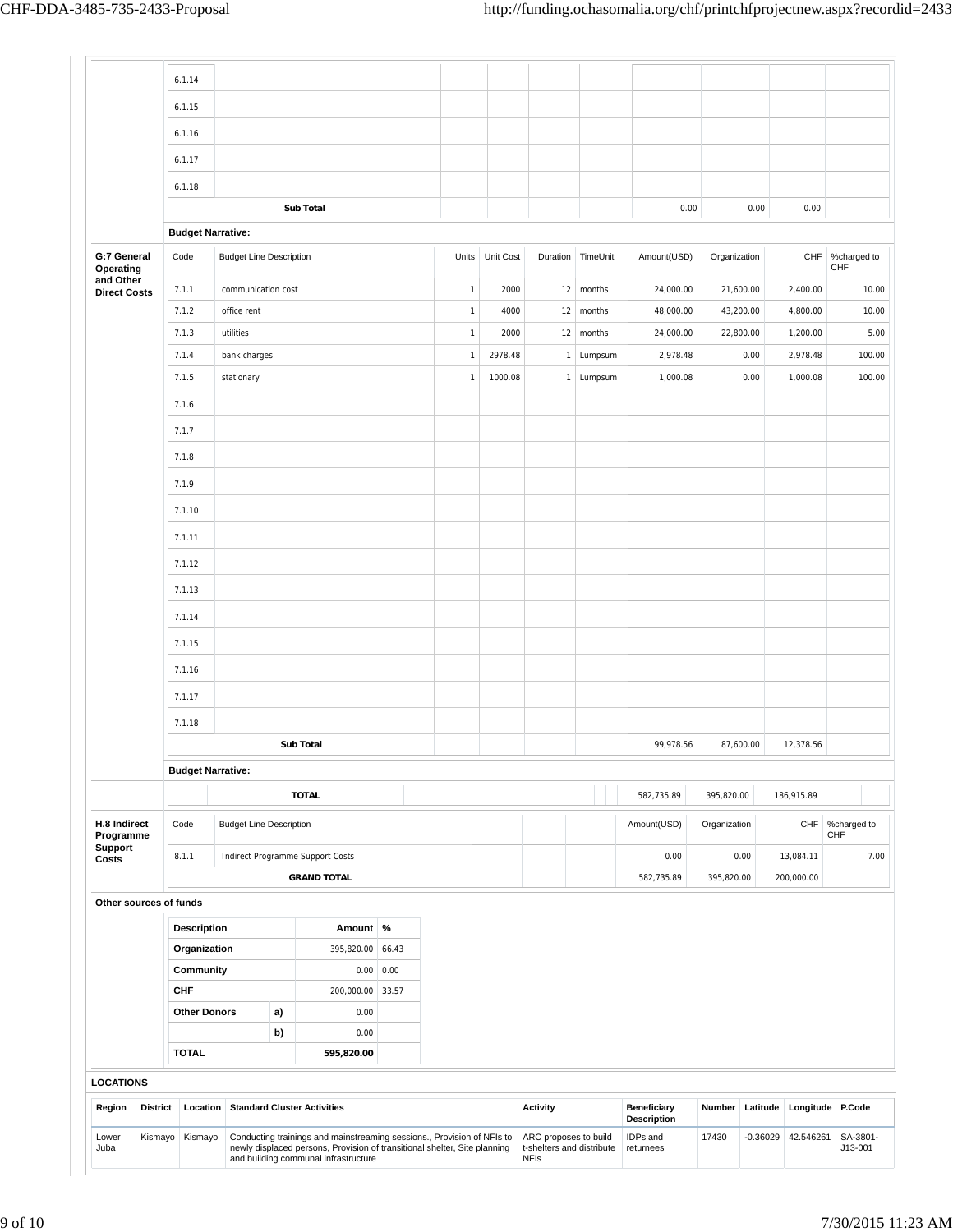|                                  |                 | 6.1.14                   |                                |    |                                                                                                                                                                                             |       |              |                 |                                                                   |                   |                                          |              |            |            |                     |
|----------------------------------|-----------------|--------------------------|--------------------------------|----|---------------------------------------------------------------------------------------------------------------------------------------------------------------------------------------------|-------|--------------|-----------------|-------------------------------------------------------------------|-------------------|------------------------------------------|--------------|------------|------------|---------------------|
|                                  |                 | 6.1.15                   |                                |    |                                                                                                                                                                                             |       |              |                 |                                                                   |                   |                                          |              |            |            |                     |
|                                  |                 | 6.1.16                   |                                |    |                                                                                                                                                                                             |       |              |                 |                                                                   |                   |                                          |              |            |            |                     |
|                                  |                 | 6.1.17                   |                                |    |                                                                                                                                                                                             |       |              |                 |                                                                   |                   |                                          |              |            |            |                     |
|                                  |                 |                          |                                |    |                                                                                                                                                                                             |       |              |                 |                                                                   |                   |                                          |              |            |            |                     |
|                                  |                 | 6.1.18                   |                                |    | <b>Sub Total</b>                                                                                                                                                                            |       |              |                 |                                                                   |                   | 0.00                                     |              | 0.00       | 0.00       |                     |
|                                  |                 | <b>Budget Narrative:</b> |                                |    |                                                                                                                                                                                             |       |              |                 |                                                                   |                   |                                          |              |            |            |                     |
| G:7 General<br>Operating         |                 | Code                     | <b>Budget Line Description</b> |    |                                                                                                                                                                                             |       |              | Units Unit Cost |                                                                   | Duration TimeUnit | Amount(USD)                              | Organization |            | CHF        | %charged to<br>CHF  |
| and Other<br><b>Direct Costs</b> |                 | 7.1.1                    | communication cost             |    |                                                                                                                                                                                             |       | $\mathbf{1}$ | 2000            |                                                                   | $12 \mid$ months  | 24,000.00                                |              | 21,600.00  | 2,400.00   | 10.00               |
|                                  |                 | 7.1.2                    | office rent                    |    |                                                                                                                                                                                             |       | $\mathbf{1}$ | 4000            | 12                                                                | months            | 48,000.00                                |              | 43,200.00  | 4,800.00   | 10.00               |
|                                  |                 | 7.1.3                    | utilities                      |    |                                                                                                                                                                                             |       | $\mathbf{1}$ | 2000            |                                                                   | 12 months         | 24,000.00                                |              | 22,800.00  | 1,200.00   | 5.00                |
|                                  |                 | 7.1.4                    | bank charges                   |    |                                                                                                                                                                                             |       | $\mathbf{1}$ | 2978.48         | 1                                                                 | Lumpsum           | 2,978.48                                 |              | 0.00       | 2,978.48   | 100.00              |
|                                  |                 | 7.1.5                    | stationary                     |    |                                                                                                                                                                                             |       | $\mathbf{1}$ | 1000.08         |                                                                   | 1 Lumpsum         | 1,000.08                                 |              | 0.00       | 1,000.08   | 100.00              |
|                                  |                 | 7.1.6                    |                                |    |                                                                                                                                                                                             |       |              |                 |                                                                   |                   |                                          |              |            |            |                     |
|                                  |                 | 7.1.7                    |                                |    |                                                                                                                                                                                             |       |              |                 |                                                                   |                   |                                          |              |            |            |                     |
|                                  |                 | 7.1.8                    |                                |    |                                                                                                                                                                                             |       |              |                 |                                                                   |                   |                                          |              |            |            |                     |
|                                  |                 | 7.1.9                    |                                |    |                                                                                                                                                                                             |       |              |                 |                                                                   |                   |                                          |              |            |            |                     |
|                                  |                 | 7.1.10                   |                                |    |                                                                                                                                                                                             |       |              |                 |                                                                   |                   |                                          |              |            |            |                     |
|                                  |                 | 7.1.11                   |                                |    |                                                                                                                                                                                             |       |              |                 |                                                                   |                   |                                          |              |            |            |                     |
|                                  |                 |                          |                                |    |                                                                                                                                                                                             |       |              |                 |                                                                   |                   |                                          |              |            |            |                     |
|                                  |                 | 7.1.12                   |                                |    |                                                                                                                                                                                             |       |              |                 |                                                                   |                   |                                          |              |            |            |                     |
|                                  |                 | 7.1.13                   |                                |    |                                                                                                                                                                                             |       |              |                 |                                                                   |                   |                                          |              |            |            |                     |
|                                  |                 | 7.1.14                   |                                |    |                                                                                                                                                                                             |       |              |                 |                                                                   |                   |                                          |              |            |            |                     |
|                                  |                 | 7.1.15                   |                                |    |                                                                                                                                                                                             |       |              |                 |                                                                   |                   |                                          |              |            |            |                     |
|                                  |                 | 7.1.16                   |                                |    |                                                                                                                                                                                             |       |              |                 |                                                                   |                   |                                          |              |            |            |                     |
|                                  |                 | 7.1.17                   |                                |    |                                                                                                                                                                                             |       |              |                 |                                                                   |                   |                                          |              |            |            |                     |
|                                  |                 | 7.1.18                   |                                |    |                                                                                                                                                                                             |       |              |                 |                                                                   |                   |                                          |              |            |            |                     |
|                                  |                 |                          |                                |    | <b>Sub Total</b>                                                                                                                                                                            |       |              |                 |                                                                   |                   | 99,978.56                                |              | 87,600.00  | 12,378.56  |                     |
|                                  |                 | <b>Budget Narrative:</b> |                                |    |                                                                                                                                                                                             |       |              |                 |                                                                   |                   |                                          |              |            |            |                     |
|                                  |                 |                          |                                |    | <b>TOTAL</b>                                                                                                                                                                                |       |              |                 |                                                                   |                   |                                          |              |            |            |                     |
|                                  |                 |                          |                                |    |                                                                                                                                                                                             |       |              |                 |                                                                   |                   | 582,735.89                               | 395,820.00   |            | 186,915.89 |                     |
| H.8 Indirect<br>Programme        |                 | Code                     | <b>Budget Line Description</b> |    |                                                                                                                                                                                             |       |              |                 |                                                                   |                   | Amount(USD)                              | Organization |            | CHF        | %charged to<br>CHF  |
| Support<br>Costs                 |                 | 8.1.1                    |                                |    | Indirect Programme Support Costs                                                                                                                                                            |       |              |                 |                                                                   |                   | 0.00                                     |              | 0.00       | 13,084.11  | 7.00                |
|                                  |                 |                          |                                |    | <b>GRAND TOTAL</b>                                                                                                                                                                          |       |              |                 |                                                                   |                   | 582,735.89                               | 395,820.00   |            | 200,000.00 |                     |
| Other sources of funds           |                 |                          |                                |    |                                                                                                                                                                                             |       |              |                 |                                                                   |                   |                                          |              |            |            |                     |
|                                  |                 | Description              |                                |    | Amount %                                                                                                                                                                                    |       |              |                 |                                                                   |                   |                                          |              |            |            |                     |
|                                  |                 | Organization             |                                |    | 395,820.00                                                                                                                                                                                  | 66.43 |              |                 |                                                                   |                   |                                          |              |            |            |                     |
|                                  |                 | Community                |                                |    | 0.00                                                                                                                                                                                        | 0.00  |              |                 |                                                                   |                   |                                          |              |            |            |                     |
|                                  |                 | <b>CHF</b>               |                                |    | 200,000.00                                                                                                                                                                                  | 33.57 |              |                 |                                                                   |                   |                                          |              |            |            |                     |
|                                  |                 | <b>Other Donors</b>      |                                | a) | 0.00                                                                                                                                                                                        |       |              |                 |                                                                   |                   |                                          |              |            |            |                     |
|                                  |                 |                          |                                | b) | 0.00                                                                                                                                                                                        |       |              |                 |                                                                   |                   |                                          |              |            |            |                     |
|                                  |                 | <b>TOTAL</b>             |                                |    | 595,820.00                                                                                                                                                                                  |       |              |                 |                                                                   |                   |                                          |              |            |            |                     |
| <b>LOCATIONS</b>                 |                 |                          |                                |    |                                                                                                                                                                                             |       |              |                 |                                                                   |                   |                                          |              |            |            |                     |
| Region                           | <b>District</b> | Location                 |                                |    | <b>Standard Cluster Activities</b>                                                                                                                                                          |       |              |                 | <b>Activity</b>                                                   |                   | <b>Beneficiary</b><br><b>Description</b> | Number       | Latitude   |            | Longitude P.Code    |
| Lower<br>Juba                    | Kismayo         | Kismayo                  |                                |    | Conducting trainings and mainstreaming sessions., Provision of NFIs to<br>newly displaced persons, Provision of transitional shelter, Site planning<br>and building communal infrastructure |       |              |                 | ARC proposes to build<br>t-shelters and distribute<br><b>NFIs</b> |                   | IDPs and<br>returnees                    | 17430        | $-0.36029$ | 42.546261  | SA-3801-<br>J13-001 |